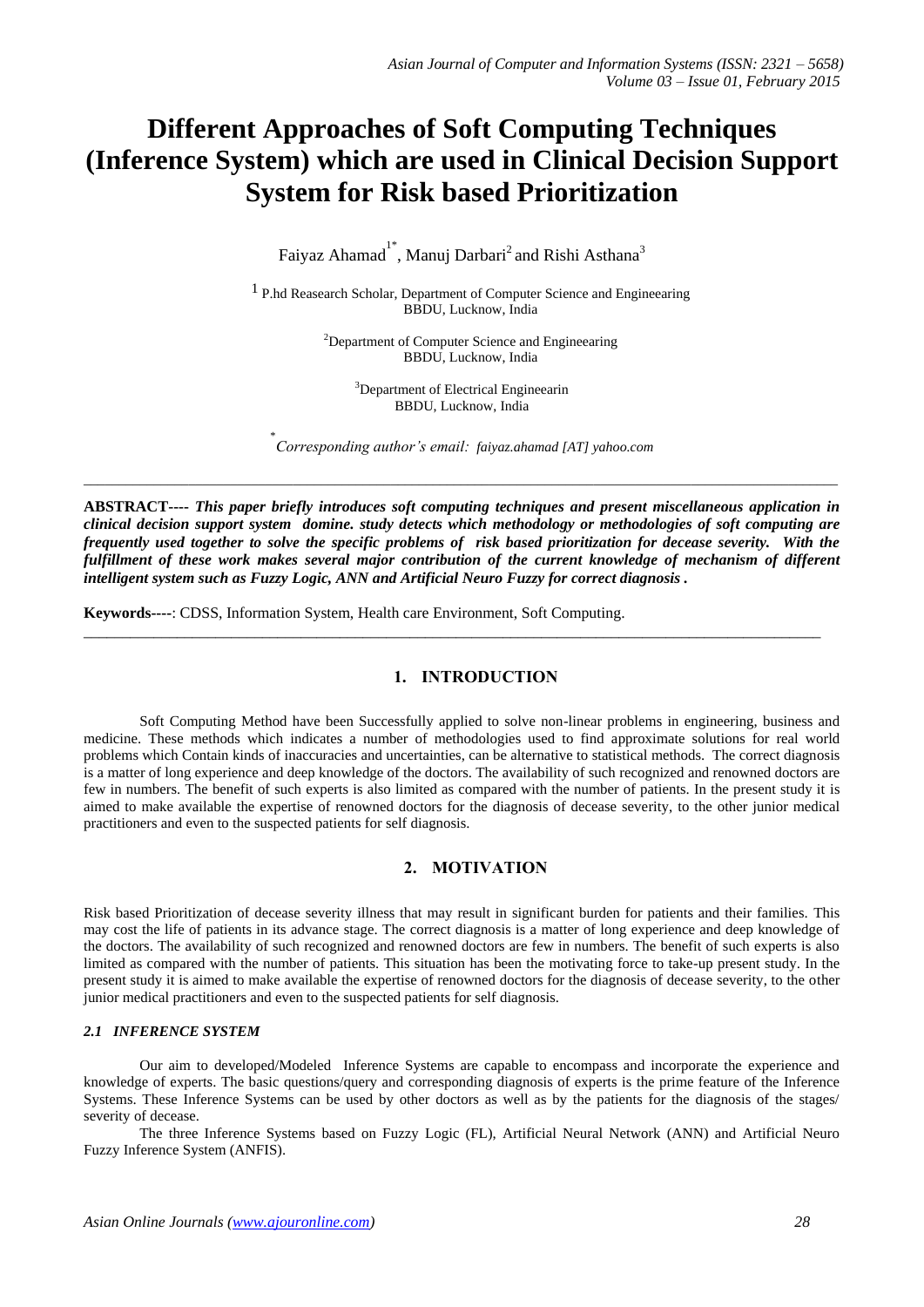# **Different Approaches of Soft Computing Techniques (Inference System) which are used in Clinical Decision Support System for Risk based Prioritization**

Faiyaz Ahamad<sup>1\*</sup>, Manuj Darbari<sup>2</sup> and Rishi Asthana<sup>3</sup>

<sup>1</sup> P.hd Reasearch Scholar, Department of Computer Science and Engineearing BBDU, Lucknow, India

> <sup>2</sup>Department of Computer Science and Engineearing BBDU, Lucknow, India

> > <sup>3</sup>Department of Electrical Engineearin BBDU, Lucknow, India

\* *Corresponding author's email: faiyaz.ahamad [AT] yahoo.com*

*\_\_\_\_\_\_\_\_\_\_\_\_\_\_\_\_\_\_\_\_\_\_\_\_\_\_\_\_\_\_\_\_\_\_\_\_\_\_\_\_\_\_\_\_\_\_\_\_\_\_\_\_\_\_\_\_\_\_\_\_\_\_\_\_\_\_\_\_\_\_\_\_\_\_\_\_\_\_\_\_\_\_\_\_\_\_\_\_\_\_\_\_\_\_\_\_\_\_\_\_\_\_\_\_\_\_\_\_*

**ABSTRACT----** *This paper briefly introduces soft computing techniques and present miscellaneous application in clinical decision support system domine. study detects which methodology or methodologies of soft computing are frequently used together to solve the specific problems of risk based prioritization for decease severity. With the fulfillment of these work makes several major contribution of the current knowledge of mechanism of different intelligent system such as Fuzzy Logic, ANN and Artificial Neuro Fuzzy for correct diagnosis .*

\_\_\_\_\_\_\_\_\_\_\_\_\_\_\_\_\_\_\_\_\_\_\_\_\_\_\_\_\_\_\_\_\_\_\_\_\_\_\_\_\_\_\_\_\_\_\_\_\_\_\_\_\_\_\_\_\_\_\_\_\_\_\_\_\_\_\_\_\_\_\_\_\_\_\_\_\_\_\_\_\_\_\_\_\_\_\_\_\_\_\_\_\_\_\_

**Keywords----**: CDSS, Information System, Health care Environment, Soft Computing.

# **1. INTRODUCTION**

Soft Computing Method have been Successfully applied to solve non-linear problems in engineering, business and medicine. These methods which indicates a number of methodologies used to find approximate solutions for real world problems which Contain kinds of inaccuracies and uncertainties, can be alternative to statistical methods. The correct diagnosis is a matter of long experience and deep knowledge of the doctors. The availability of such recognized and renowned doctors are few in numbers. The benefit of such experts is also limited as compared with the number of patients. In the present study it is aimed to make available the expertise of renowned doctors for the diagnosis of decease severity, to the other junior medical practitioners and even to the suspected patients for self diagnosis.

# **2. MOTIVATION**

Risk based Prioritization of decease severity illness that may result in significant burden for patients and their families. This may cost the life of patients in its advance stage. The correct diagnosis is a matter of long experience and deep knowledge of the doctors. The availability of such recognized and renowned doctors are few in numbers. The benefit of such experts is also limited as compared with the number of patients. This situation has been the motivating force to take-up present study. In the present study it is aimed to make available the expertise of renowned doctors for the diagnosis of decease severity, to the other junior medical practitioners and even to the suspected patients for self diagnosis.

#### *2.1 INFERENCE SYSTEM*

Our aim to developed/Modeled Inference Systems are capable to encompass and incorporate the experience and knowledge of experts. The basic questions/query and corresponding diagnosis of experts is the prime feature of the Inference Systems. These Inference Systems can be used by other doctors as well as by the patients for the diagnosis of the stages/ severity of decease.

The three Inference Systems based on Fuzzy Logic (FL), Artificial Neural Network (ANN) and Artificial Neuro Fuzzy Inference System (ANFIS).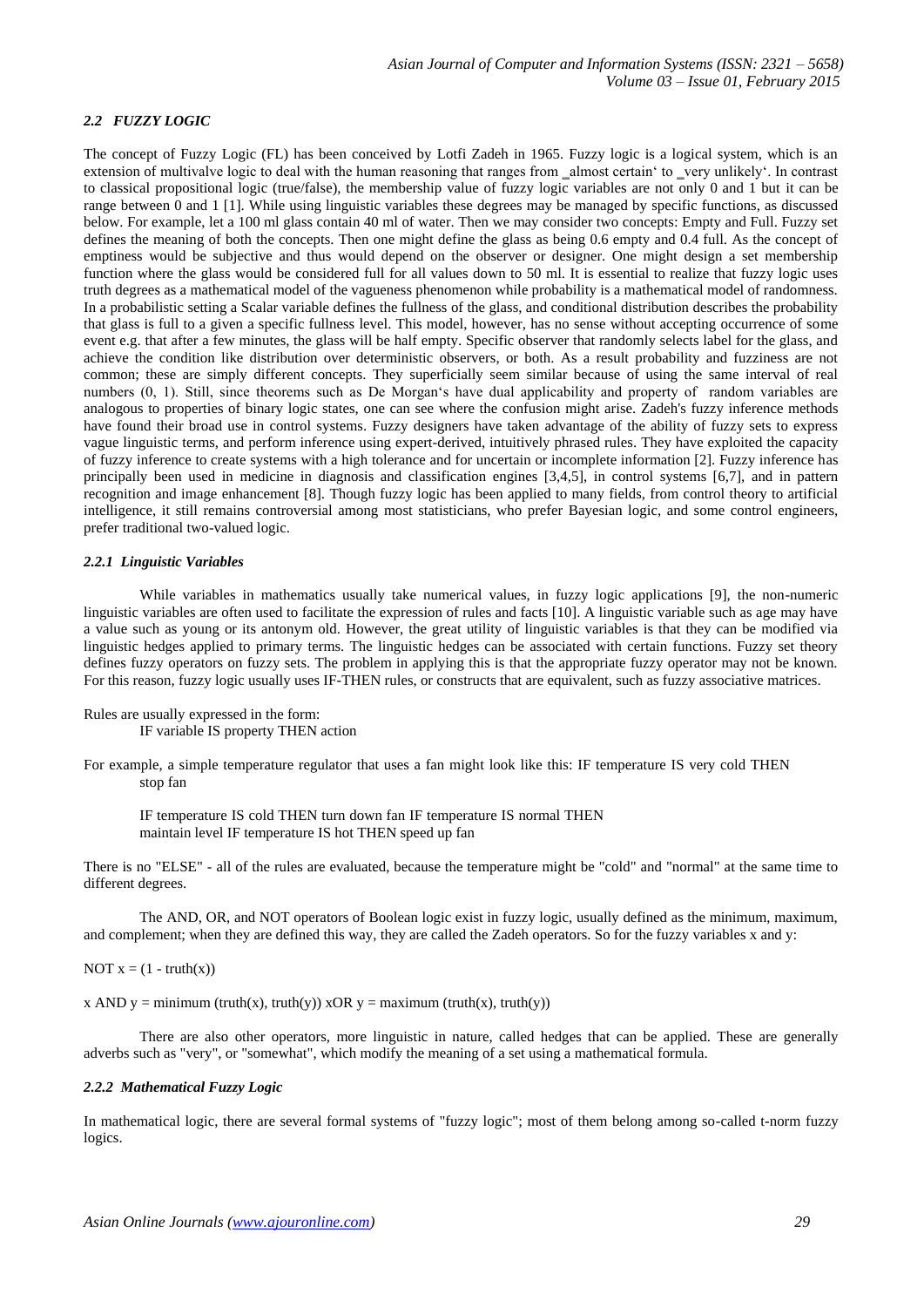## *2.2 FUZZY LOGIC*

The concept of Fuzzy Logic (FL) has been conceived by Lotfi Zadeh in 1965. Fuzzy logic is a logical system, which is an extension of multivalve logic to deal with the human reasoning that ranges from almost certain' to very unlikely'. In contrast to classical propositional logic (true/false), the membership value of fuzzy logic variables are not only 0 and 1 but it can be range between 0 and 1 [1]. While using linguistic variables these degrees may be managed by specific functions, as discussed below. For example, let a 100 ml glass contain 40 ml of water. Then we may consider two concepts: Empty and Full. Fuzzy set defines the meaning of both the concepts. Then one might define the glass as being 0.6 empty and 0.4 full. As the concept of emptiness would be subjective and thus would depend on the observer or designer. One might design a set membership function where the glass would be considered full for all values down to 50 ml. It is essential to realize that fuzzy logic uses truth degrees as a mathematical model of the vagueness phenomenon while probability is a mathematical model of randomness. In a probabilistic setting a Scalar variable defines the fullness of the glass, and conditional distribution describes the probability that glass is full to a given a specific fullness level. This model, however, has no sense without accepting occurrence of some event e.g. that after a few minutes, the glass will be half empty. Specific observer that randomly selects label for the glass, and achieve the condition like distribution over deterministic observers, or both. As a result probability and fuzziness are not common; these are simply different concepts. They superficially seem similar because of using the same interval of real numbers  $(0, 1)$ . Still, since theorems such as De Morgan's have dual applicability and property of random variables are analogous to properties of binary logic states, one can see where the confusion might arise. Zadeh's fuzzy inference methods have found their broad use in control systems. Fuzzy designers have taken advantage of the ability of fuzzy sets to express vague linguistic terms, and perform inference using expert-derived, intuitively phrased rules. They have exploited the capacity of fuzzy inference to create systems with a high tolerance and for uncertain or incomplete information [2]. Fuzzy inference has principally been used in medicine in diagnosis and classification engines [3,4,5], in control systems [6,7], and in pattern recognition and image enhancement [8]. Though fuzzy logic has been applied to many fields, from control theory to artificial intelligence, it still remains controversial among most statisticians, who prefer Bayesian logic, and some control engineers, prefer traditional two-valued logic.

#### *2.2.1 Linguistic Variables*

While variables in mathematics usually take numerical values, in fuzzy logic applications [9], the non-numeric linguistic variables are often used to facilitate the expression of rules and facts [10]. A linguistic variable such as age may have a value such as young or its antonym old. However, the great utility of linguistic variables is that they can be modified via linguistic hedges applied to primary terms. The linguistic hedges can be associated with certain functions. Fuzzy set theory defines fuzzy operators on fuzzy sets. The problem in applying this is that the appropriate fuzzy operator may not be known. For this reason, fuzzy logic usually uses IF-THEN rules, or constructs that are equivalent, such as fuzzy associative matrices.

Rules are usually expressed in the form:

IF variable IS property THEN action

For example, a simple temperature regulator that uses a fan might look like this: IF temperature IS very cold THEN stop fan

IF temperature IS cold THEN turn down fan IF temperature IS normal THEN maintain level IF temperature IS hot THEN speed up fan

There is no "ELSE" - all of the rules are evaluated, because the temperature might be "cold" and "normal" at the same time to different degrees.

The AND, OR, and NOT operators of Boolean logic exist in fuzzy logic, usually defined as the minimum, maximum, and complement; when they are defined this way, they are called the Zadeh operators. So for the fuzzy variables x and y:

NOT  $x = (1 - \text{truth}(x))$ 

x AND y = minimum (truth(x), truth(y)) xOR y = maximum (truth(x), truth(y))

There are also other operators, more linguistic in nature, called hedges that can be applied. These are generally adverbs such as "very", or "somewhat", which modify the meaning of a set using a mathematical formula.

#### *2.2.2 Mathematical Fuzzy Logic*

In mathematical logic, there are several formal systems of "fuzzy logic"; most of them belong among so-called t-norm fuzzy logics.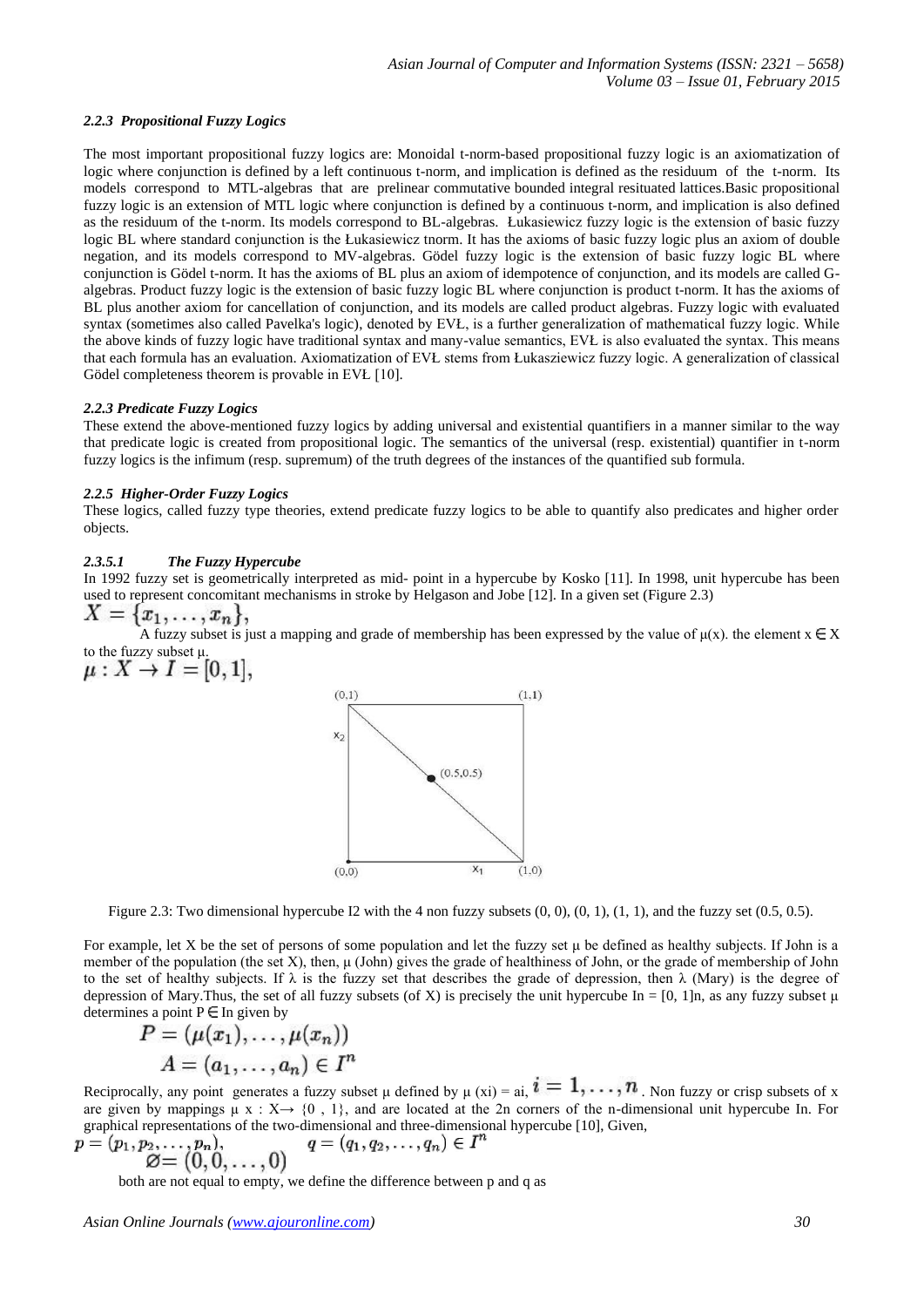## *2.2.3 Propositional Fuzzy Logics*

The most important propositional fuzzy logics are: Monoidal t-norm-based propositional fuzzy logic is an axiomatization of logic where conjunction is defined by a left continuous t-norm, and implication is defined as the residuum of the t-norm. Its models correspond to MTL-algebras that are prelinear commutative bounded integral resituated lattices.Basic propositional fuzzy logic is an extension of MTL logic where conjunction is defined by a continuous t-norm, and implication is also defined as the residuum of the t-norm. Its models correspond to BL-algebras. Łukasiewicz fuzzy logic is the extension of basic fuzzy logic BL where standard conjunction is the Łukasiewicz tnorm. It has the axioms of basic fuzzy logic plus an axiom of double negation, and its models correspond to MV-algebras. Gödel fuzzy logic is the extension of basic fuzzy logic BL where conjunction is Gödel t-norm. It has the axioms of BL plus an axiom of idempotence of conjunction, and its models are called Galgebras. Product fuzzy logic is the extension of basic fuzzy logic BL where conjunction is product t-norm. It has the axioms of BL plus another axiom for cancellation of conjunction, and its models are called product algebras. Fuzzy logic with evaluated syntax (sometimes also called Pavelka's logic), denoted by EVŁ, is a further generalization of mathematical fuzzy logic. While the above kinds of fuzzy logic have traditional syntax and many-value semantics, EVŁ is also evaluated the syntax. This means that each formula has an evaluation. Axiomatization of EVŁ stems from Łukasziewicz fuzzy logic. A generalization of classical Gödel completeness theorem is provable in EVŁ [10].

#### *2.2.3 Predicate Fuzzy Logics*

These extend the above-mentioned fuzzy logics by adding universal and existential quantifiers in a manner similar to the way that predicate logic is created from propositional logic. The semantics of the universal (resp. existential) quantifier in t-norm fuzzy logics is the infimum (resp. supremum) of the truth degrees of the instances of the quantified sub formula.

#### *2.2.5 Higher-Order Fuzzy Logics*

These logics, called fuzzy type theories, extend predicate fuzzy logics to be able to quantify also predicates and higher order objects.

#### *2.3.5.1 The Fuzzy Hypercube*

In 1992 fuzzy set is geometrically interpreted as mid- point in a hypercube by Kosko [11]. In 1998, unit hypercube has been used to represent concomitant mechanisms in stroke by Helgason and Jobe [12]. In a given set (Figure 2.3)

$$
X = \{x_1, \ldots, x_n\},\
$$

A fuzzy subset is just a mapping and grade of membership has been expressed by the value of  $\mu(x)$ . the element  $x \in X$ 





Figure 2.3: Two dimensional hypercube I2 with the 4 non fuzzy subsets  $(0, 0), (0, 1), (1, 1),$  and the fuzzy set  $(0.5, 0.5)$ .

For example, let X be the set of persons of some population and let the fuzzy set μ be defined as healthy subjects. If John is a member of the population (the set X), then,  $\mu$  (John) gives the grade of healthiness of John, or the grade of membership of John to the set of healthy subjects. If  $\lambda$  is the fuzzy set that describes the grade of depression, then  $\lambda$  (Mary) is the degree of depression of Mary.Thus, the set of all fuzzy subsets (of X) is precisely the unit hypercube In = [0, 1]n, as any fuzzy subset  $\mu$ determines a point  $P \in In$  given by

$$
P = (\mu(x_1), \dots, \mu(x_n))
$$
  

$$
A = (a_1, \dots, a_n) \in I^n
$$

Reciprocally, any point generates a fuzzy subset μ defined by  $\mu(x_i) = ai$ ,  $i = 1, ..., n$ . Non fuzzy or crisp subsets of x are given by mappings  $\mu x : X \rightarrow \{0, 1\}$ , and are located at the 2n corners of the n-dimensional unit hypercube In. For graphical representations of the two-dimensional and three-dimensional hypercube [10], Given,

$$
p = (p_1, p_2, \ldots, p_n),
$$
  
\n
$$
\varnothing = (0, 0, \ldots, 0)
$$
  
\n
$$
q = (q_1, q_2, \ldots, q_n) \in I^n
$$

both are not equal to empty, we define the difference between p and q as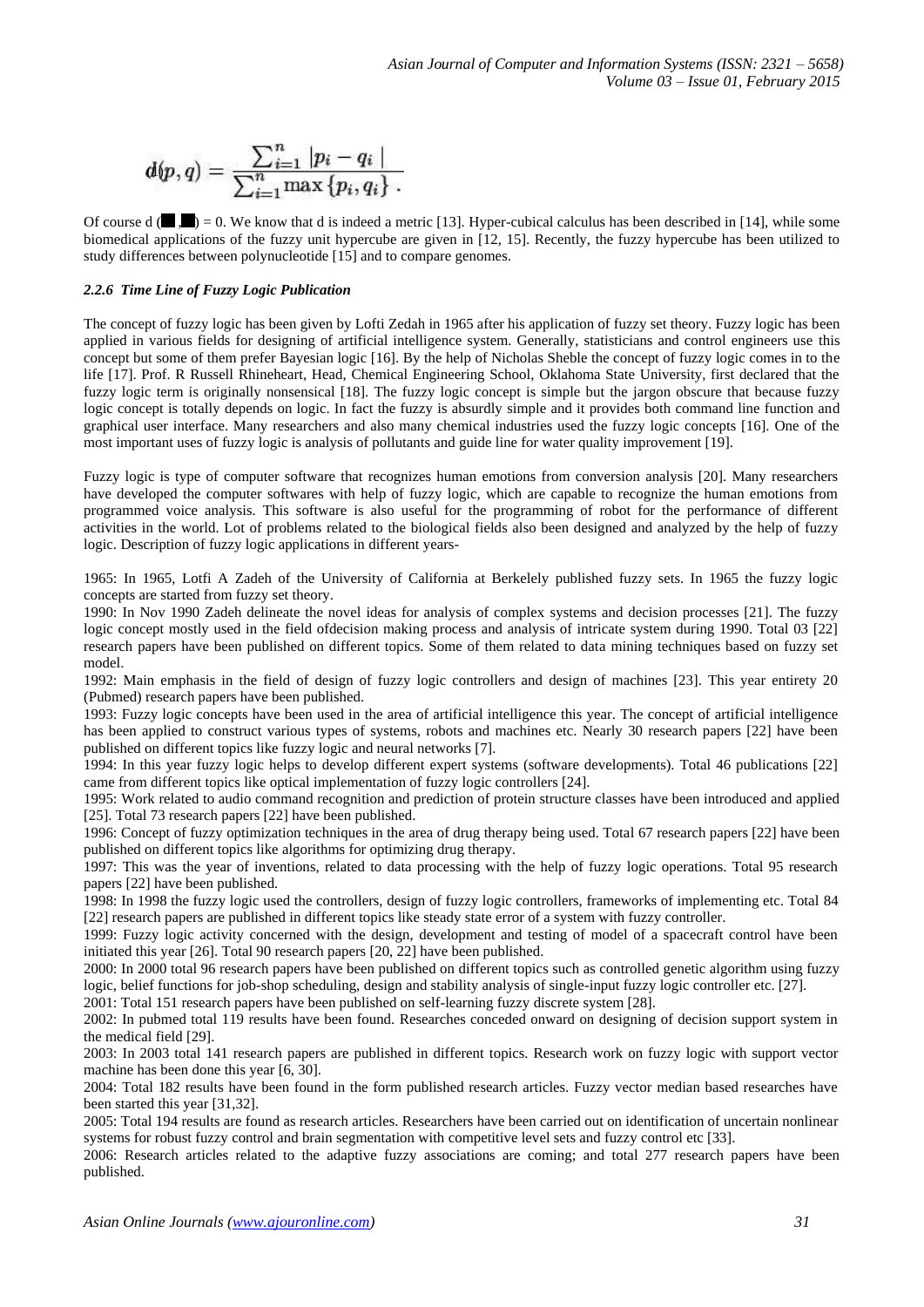$$
d(p,q) = \frac{\sum_{i=1}^{n} |p_i - q_i|}{\sum_{i=1}^{n} \max\{p_i, q_i\}}.
$$

Of course d  $(\blacksquare, \blacksquare) = 0$ . We know that d is indeed a metric [13]. Hyper-cubical calculus has been described in [14], while some biomedical applications of the fuzzy unit hypercube are given in [12, 15]. Recently, the fuzzy hypercube has been utilized to study differences between polynucleotide [15] and to compare genomes.

## *2.2.6 Time Line of Fuzzy Logic Publication*

The concept of fuzzy logic has been given by Lofti Zedah in 1965 after his application of fuzzy set theory. Fuzzy logic has been applied in various fields for designing of artificial intelligence system. Generally, statisticians and control engineers use this concept but some of them prefer Bayesian logic [16]. By the help of Nicholas Sheble the concept of fuzzy logic comes in to the life [17]. Prof. R Russell Rhineheart, Head, Chemical Engineering School, Oklahoma State University, first declared that the fuzzy logic term is originally nonsensical [18]. The fuzzy logic concept is simple but the jargon obscure that because fuzzy logic concept is totally depends on logic. In fact the fuzzy is absurdly simple and it provides both command line function and graphical user interface. Many researchers and also many chemical industries used the fuzzy logic concepts [16]. One of the most important uses of fuzzy logic is analysis of pollutants and guide line for water quality improvement [19].

Fuzzy logic is type of computer software that recognizes human emotions from conversion analysis [20]. Many researchers have developed the computer softwares with help of fuzzy logic, which are capable to recognize the human emotions from programmed voice analysis. This software is also useful for the programming of robot for the performance of different activities in the world. Lot of problems related to the biological fields also been designed and analyzed by the help of fuzzy logic. Description of fuzzy logic applications in different years-

1965: In 1965, Lotfi A Zadeh of the University of California at Berkelely published fuzzy sets. In 1965 the fuzzy logic concepts are started from fuzzy set theory.

1990: In Nov 1990 Zadeh delineate the novel ideas for analysis of complex systems and decision processes [21]. The fuzzy logic concept mostly used in the field ofdecision making process and analysis of intricate system during 1990. Total 03 [22] research papers have been published on different topics. Some of them related to data mining techniques based on fuzzy set model.

1992: Main emphasis in the field of design of fuzzy logic controllers and design of machines [23]. This year entirety 20 (Pubmed) research papers have been published.

1993: Fuzzy logic concepts have been used in the area of artificial intelligence this year. The concept of artificial intelligence has been applied to construct various types of systems, robots and machines etc. Nearly 30 research papers [22] have been published on different topics like fuzzy logic and neural networks [7].

1994: In this year fuzzy logic helps to develop different expert systems (software developments). Total 46 publications [22] came from different topics like optical implementation of fuzzy logic controllers [24].

1995: Work related to audio command recognition and prediction of protein structure classes have been introduced and applied [25]. Total 73 research papers [22] have been published.

1996: Concept of fuzzy optimization techniques in the area of drug therapy being used. Total 67 research papers [22] have been published on different topics like algorithms for optimizing drug therapy.

1997: This was the year of inventions, related to data processing with the help of fuzzy logic operations. Total 95 research papers [22] have been published.

1998: In 1998 the fuzzy logic used the controllers, design of fuzzy logic controllers, frameworks of implementing etc. Total 84 [22] research papers are published in different topics like steady state error of a system with fuzzy controller.

1999: Fuzzy logic activity concerned with the design, development and testing of model of a spacecraft control have been initiated this year [26]. Total 90 research papers [20, 22] have been published.

2000: In 2000 total 96 research papers have been published on different topics such as controlled genetic algorithm using fuzzy logic, belief functions for job-shop scheduling, design and stability analysis of single-input fuzzy logic controller etc. [27].

2001: Total 151 research papers have been published on self-learning fuzzy discrete system [28].

2002: In pubmed total 119 results have been found. Researches conceded onward on designing of decision support system in the medical field [29].

2003: In 2003 total 141 research papers are published in different topics. Research work on fuzzy logic with support vector machine has been done this year [6, 30].

2004: Total 182 results have been found in the form published research articles. Fuzzy vector median based researches have been started this year [31,32].

2005: Total 194 results are found as research articles. Researchers have been carried out on identification of uncertain nonlinear systems for robust fuzzy control and brain segmentation with competitive level sets and fuzzy control etc [33].

2006: Research articles related to the adaptive fuzzy associations are coming; and total 277 research papers have been published.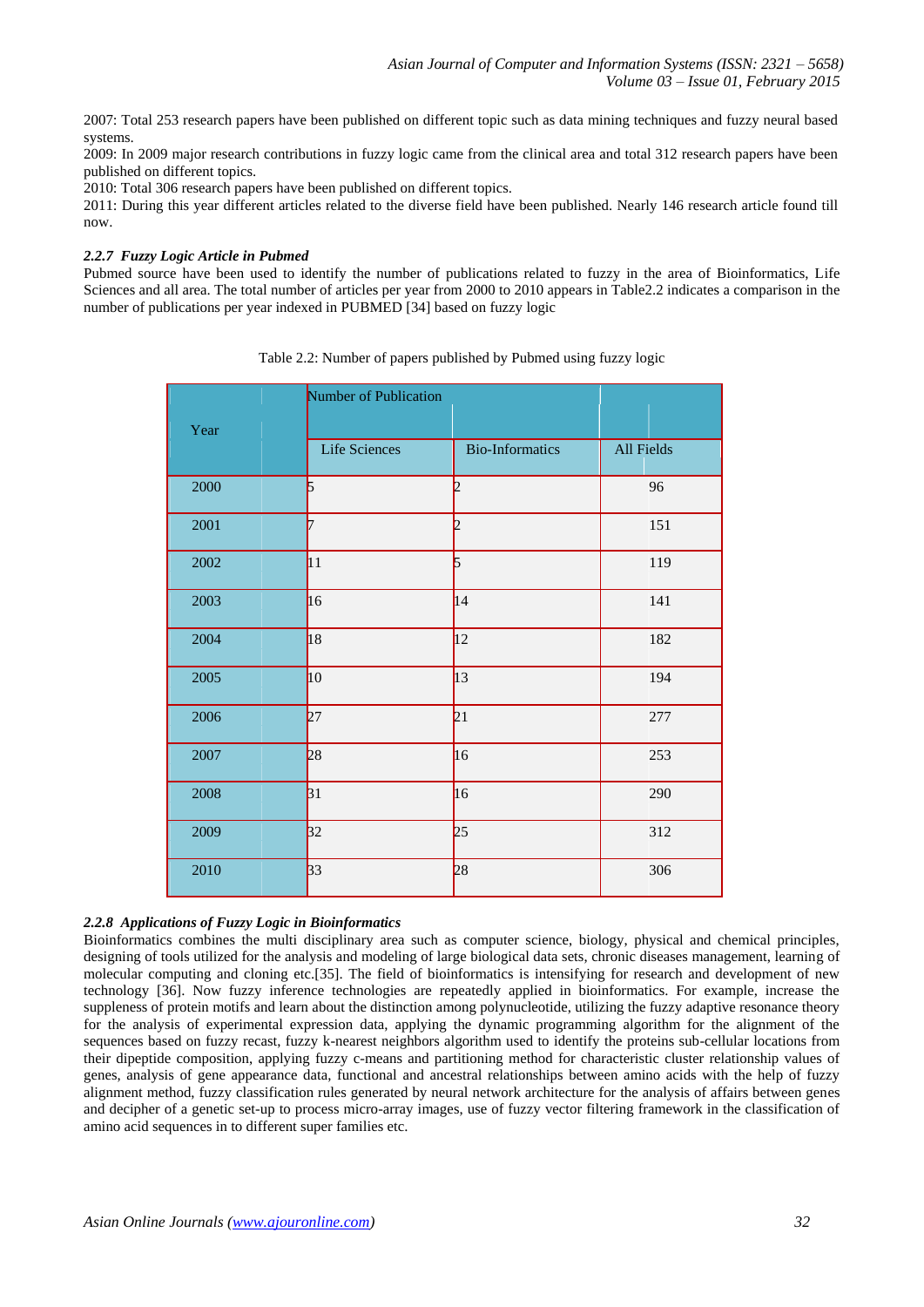2007: Total 253 research papers have been published on different topic such as data mining techniques and fuzzy neural based systems.

2009: In 2009 major research contributions in fuzzy logic came from the clinical area and total 312 research papers have been published on different topics.

2010: Total 306 research papers have been published on different topics.

2011: During this year different articles related to the diverse field have been published. Nearly 146 research article found till now.

## *2.2.7 Fuzzy Logic Article in Pubmed*

Pubmed source have been used to identify the number of publications related to fuzzy in the area of Bioinformatics, Life Sciences and all area. The total number of articles per year from 2000 to 2010 appears in Table2.2 indicates a comparison in the number of publications per year indexed in PUBMED [34] based on fuzzy logic

|      | Number of Publication |                        |            |
|------|-----------------------|------------------------|------------|
| Year |                       |                        |            |
|      | Life Sciences         | <b>Bio-Informatics</b> | All Fields |
| 2000 | l5                    | Þ.                     | 96         |
| 2001 | 17                    | n                      | 151        |
| 2002 | $\vert$ 11            | $\mathsf{S}$           | 119        |
| 2003 | 16                    | 14                     | 141        |
| 2004 | 18                    | 12                     | 182        |
| 2005 | 10                    | 13                     | 194        |
| 2006 | 27                    | 21                     | 277        |
| 2007 | 28                    | 16                     | 253        |
| 2008 | 31                    | 16                     | 290        |
| 2009 | 32                    | 25                     | 312        |
| 2010 | 33                    | 28                     | 306        |

Table 2.2: Number of papers published by Pubmed using fuzzy logic

# *2.2.8 Applications of Fuzzy Logic in Bioinformatics*

Bioinformatics combines the multi disciplinary area such as computer science, biology, physical and chemical principles, designing of tools utilized for the analysis and modeling of large biological data sets, chronic diseases management, learning of molecular computing and cloning etc.[35]. The field of bioinformatics is intensifying for research and development of new technology [36]. Now fuzzy inference technologies are repeatedly applied in bioinformatics. For example, increase the suppleness of protein motifs and learn about the distinction among polynucleotide, utilizing the fuzzy adaptive resonance theory for the analysis of experimental expression data, applying the dynamic programming algorithm for the alignment of the sequences based on fuzzy recast, fuzzy k-nearest neighbors algorithm used to identify the proteins sub-cellular locations from their dipeptide composition, applying fuzzy c-means and partitioning method for characteristic cluster relationship values of genes, analysis of gene appearance data, functional and ancestral relationships between amino acids with the help of fuzzy alignment method, fuzzy classification rules generated by neural network architecture for the analysis of affairs between genes and decipher of a genetic set-up to process micro-array images, use of fuzzy vector filtering framework in the classification of amino acid sequences in to different super families etc.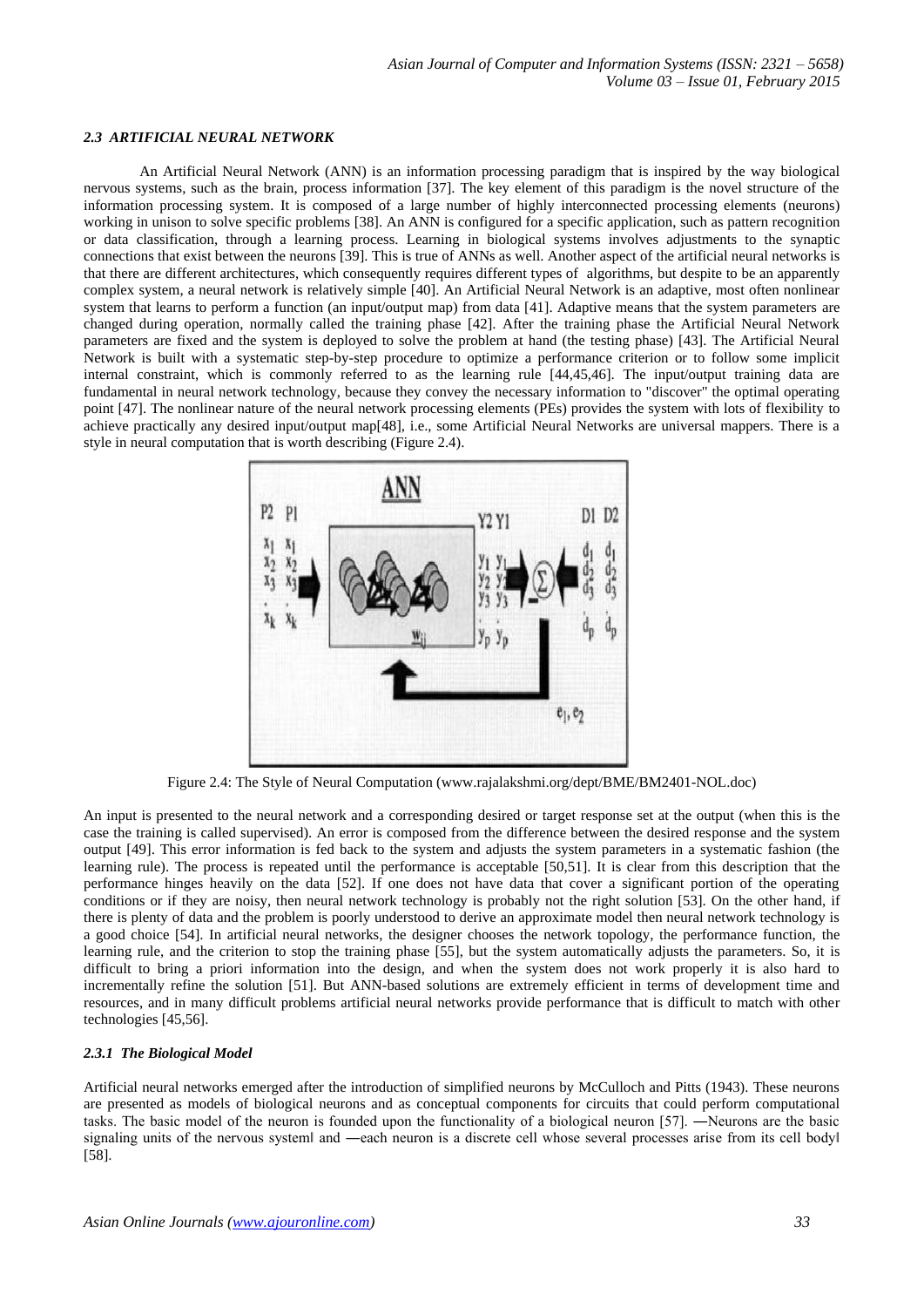#### *2.3 ARTIFICIAL NEURAL NETWORK*

An Artificial Neural Network (ANN) is an information processing paradigm that is inspired by the way biological nervous systems, such as the brain, process information [37]. The key element of this paradigm is the novel structure of the information processing system. It is composed of a large number of highly interconnected processing elements (neurons) working in unison to solve specific problems [38]. An ANN is configured for a specific application, such as pattern recognition or data classification, through a learning process. Learning in biological systems involves adjustments to the synaptic connections that exist between the neurons [39]. This is true of ANNs as well. Another aspect of the artificial neural networks is that there are different architectures, which consequently requires different types of algorithms, but despite to be an apparently complex system, a neural network is relatively simple [40]. An Artificial Neural Network is an adaptive, most often nonlinear system that learns to perform a function (an input/output map) from data [41]. Adaptive means that the system parameters are changed during operation, normally called the training phase [42]. After the training phase the Artificial Neural Network parameters are fixed and the system is deployed to solve the problem at hand (the testing phase) [43]. The Artificial Neural Network is built with a systematic step-by-step procedure to optimize a performance criterion or to follow some implicit internal constraint, which is commonly referred to as the learning rule [44,45,46]. The input/output training data are fundamental in neural network technology, because they convey the necessary information to "discover" the optimal operating point [47]. The nonlinear nature of the neural network processing elements (PEs) provides the system with lots of flexibility to achieve practically any desired input/output map[48], i.e., some Artificial Neural Networks are universal mappers. There is a style in neural computation that is worth describing (Figure 2.4).



Figure 2.4: The Style of Neural Computation (www.rajalakshmi.org/dept/BME/BM2401-NOL.doc)

An input is presented to the neural network and a corresponding desired or target response set at the output (when this is the case the training is called supervised). An error is composed from the difference between the desired response and the system output [49]. This error information is fed back to the system and adjusts the system parameters in a systematic fashion (the learning rule). The process is repeated until the performance is acceptable [50,51]. It is clear from this description that the performance hinges heavily on the data [52]. If one does not have data that cover a significant portion of the operating conditions or if they are noisy, then neural network technology is probably not the right solution [53]. On the other hand, if there is plenty of data and the problem is poorly understood to derive an approximate model then neural network technology is a good choice [54]. In artificial neural networks, the designer chooses the network topology, the performance function, the learning rule, and the criterion to stop the training phase [55], but the system automatically adjusts the parameters. So, it is difficult to bring a priori information into the design, and when the system does not work properly it is also hard to incrementally refine the solution [51]. But ANN-based solutions are extremely efficient in terms of development time and resources, and in many difficult problems artificial neural networks provide performance that is difficult to match with other technologies [45,56].

#### *2.3.1 The Biological Model*

Artificial neural networks emerged after the introduction of simplified neurons by McCulloch and Pitts (1943). These neurons are presented as models of biological neurons and as conceptual components for circuits that could perform computational tasks. The basic model of the neuron is founded upon the functionality of a biological neuron [57]. ―Neurons are the basic signaling units of the nervous systeml and —each neuron is a discrete cell whose several processes arise from its cell bodyl [58].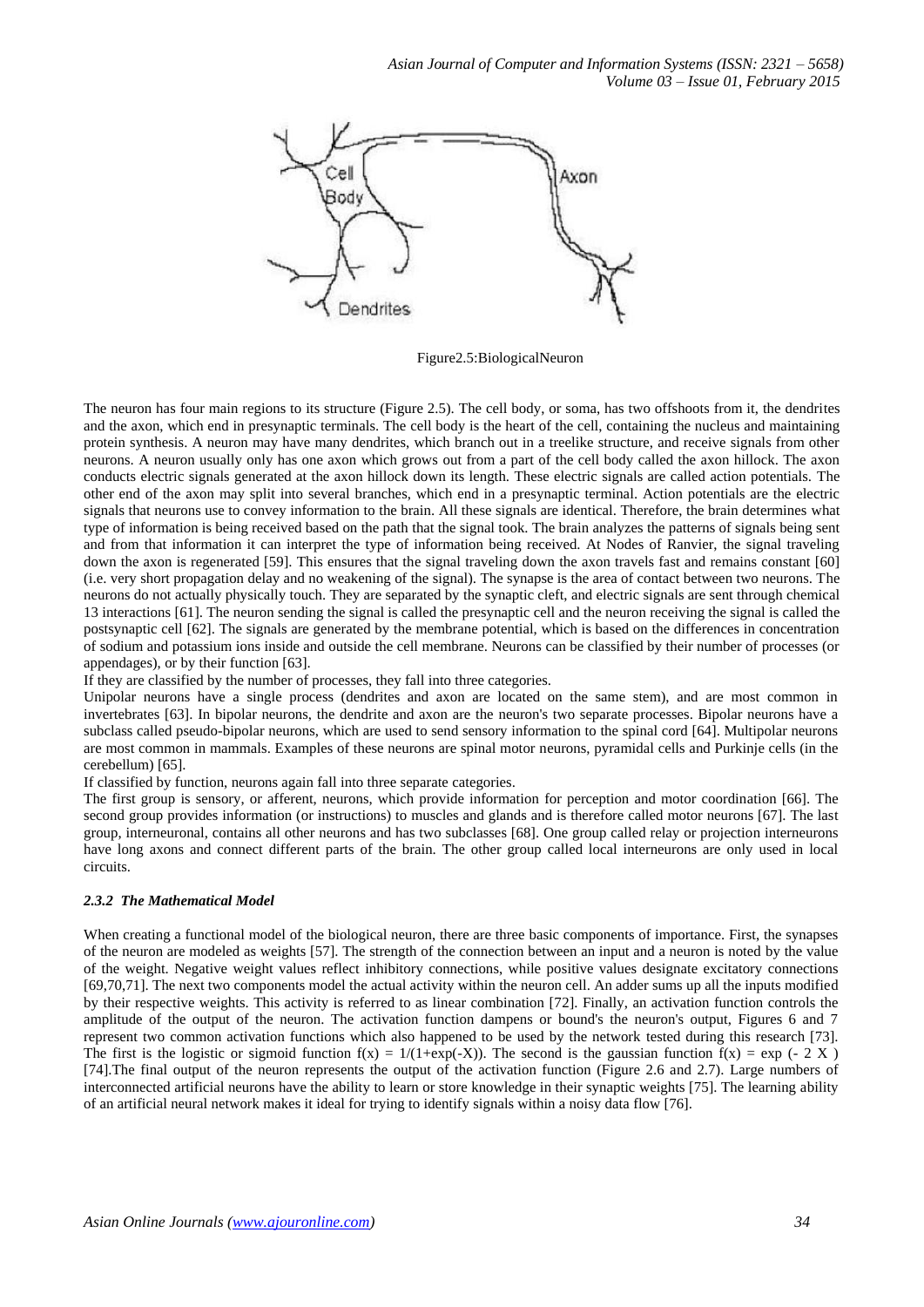

Figure2.5:BiologicalNeuron

The neuron has four main regions to its structure (Figure 2.5). The cell body, or soma, has two offshoots from it, the dendrites and the axon, which end in presynaptic terminals. The cell body is the heart of the cell, containing the nucleus and maintaining protein synthesis. A neuron may have many dendrites, which branch out in a treelike structure, and receive signals from other neurons. A neuron usually only has one axon which grows out from a part of the cell body called the axon hillock. The axon conducts electric signals generated at the axon hillock down its length. These electric signals are called action potentials. The other end of the axon may split into several branches, which end in a presynaptic terminal. Action potentials are the electric signals that neurons use to convey information to the brain. All these signals are identical. Therefore, the brain determines what type of information is being received based on the path that the signal took. The brain analyzes the patterns of signals being sent and from that information it can interpret the type of information being received. At Nodes of Ranvier, the signal traveling down the axon is regenerated [59]. This ensures that the signal traveling down the axon travels fast and remains constant [60] (i.e. very short propagation delay and no weakening of the signal). The synapse is the area of contact between two neurons. The neurons do not actually physically touch. They are separated by the synaptic cleft, and electric signals are sent through chemical 13 interactions [61]. The neuron sending the signal is called the presynaptic cell and the neuron receiving the signal is called the postsynaptic cell [62]. The signals are generated by the membrane potential, which is based on the differences in concentration of sodium and potassium ions inside and outside the cell membrane. Neurons can be classified by their number of processes (or appendages), or by their function [63].

If they are classified by the number of processes, they fall into three categories.

Unipolar neurons have a single process (dendrites and axon are located on the same stem), and are most common in invertebrates [63]. In bipolar neurons, the dendrite and axon are the neuron's two separate processes. Bipolar neurons have a subclass called pseudo-bipolar neurons, which are used to send sensory information to the spinal cord [64]. Multipolar neurons are most common in mammals. Examples of these neurons are spinal motor neurons, pyramidal cells and Purkinje cells (in the cerebellum) [65].

If classified by function, neurons again fall into three separate categories.

The first group is sensory, or afferent, neurons, which provide information for perception and motor coordination [66]. The second group provides information (or instructions) to muscles and glands and is therefore called motor neurons [67]. The last group, interneuronal, contains all other neurons and has two subclasses [68]. One group called relay or projection interneurons have long axons and connect different parts of the brain. The other group called local interneurons are only used in local circuits.

#### *2.3.2 The Mathematical Model*

When creating a functional model of the biological neuron, there are three basic components of importance. First, the synapses of the neuron are modeled as weights [57]. The strength of the connection between an input and a neuron is noted by the value of the weight. Negative weight values reflect inhibitory connections, while positive values designate excitatory connections [69,70,71]. The next two components model the actual activity within the neuron cell. An adder sums up all the inputs modified by their respective weights. This activity is referred to as linear combination [72]. Finally, an activation function controls the amplitude of the output of the neuron. The activation function dampens or bound's the neuron's output, Figures 6 and 7 represent two common activation functions which also happened to be used by the network tested during this research [73]. The first is the logistic or sigmoid function  $f(x) = 1/(1+\exp(-X))$ . The second is the gaussian function  $f(x) = \exp(-2 X)$ [74].The final output of the neuron represents the output of the activation function (Figure 2.6 and 2.7). Large numbers of interconnected artificial neurons have the ability to learn or store knowledge in their synaptic weights [75]. The learning ability of an artificial neural network makes it ideal for trying to identify signals within a noisy data flow [76].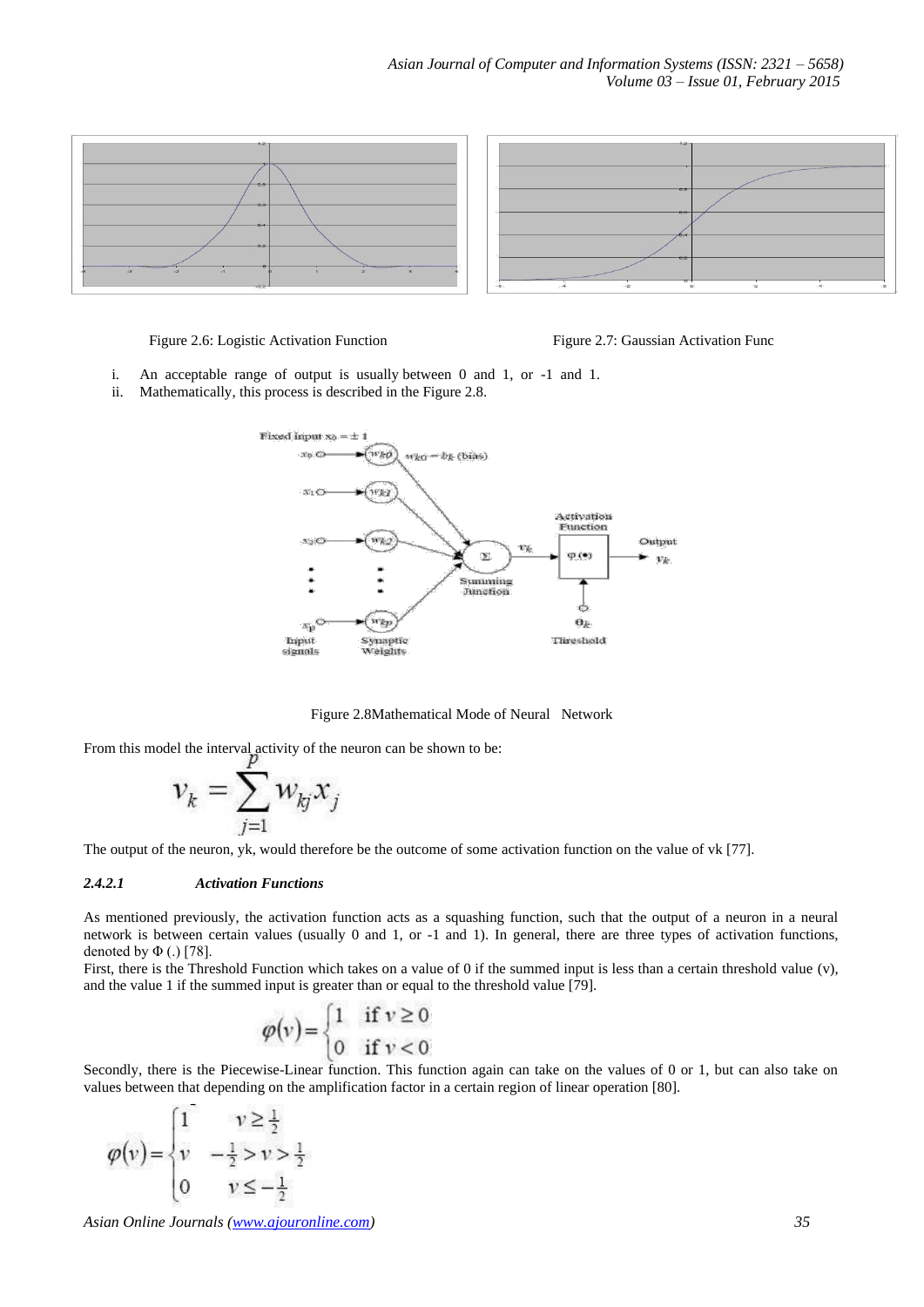

Figure 2.6: Logistic Activation Function Figure 2.7: Gaussian Activation Func

- i. An acceptable range of output is usually between 0 and 1, or -1 and 1.
- ii. Mathematically, this process is described in the Figure 2.8.



Figure 2.8Mathematical Mode of Neural Network

From this model the interval activity of the neuron can be shown to be:

$$
v_k = \sum_{j=1}^k w_{kj} x_j
$$

The output of the neuron, yk, would therefore be the outcome of some activation function on the value of vk [77].

#### *2.4.2.1 Activation Functions*

As mentioned previously, the activation function acts as a squashing function, such that the output of a neuron in a neural network is between certain values (usually 0 and 1, or -1 and 1). In general, there are three types of activation functions, denoted by  $\Phi$  (.) [78].

First, there is the Threshold Function which takes on a value of 0 if the summed input is less than a certain threshold value (v), and the value 1 if the summed input is greater than or equal to the threshold value [79].

$$
\varphi(v) = \begin{cases} 1 & \text{if } v \ge 0 \\ 0 & \text{if } v < 0 \end{cases}
$$

Secondly, there is the Piecewise-Linear function. This function again can take on the values of 0 or 1, but can also take on values between that depending on the amplification factor in a certain region of linear operation [80].

$$
\varphi(v) = \begin{cases} 1 & v \ge \frac{1}{2} \\ v & -\frac{1}{2} > v > \frac{1}{2} \\ 0 & v \le -\frac{1}{2} \end{cases}
$$

*Asian Online Journals (www.ajouronline.com) 35*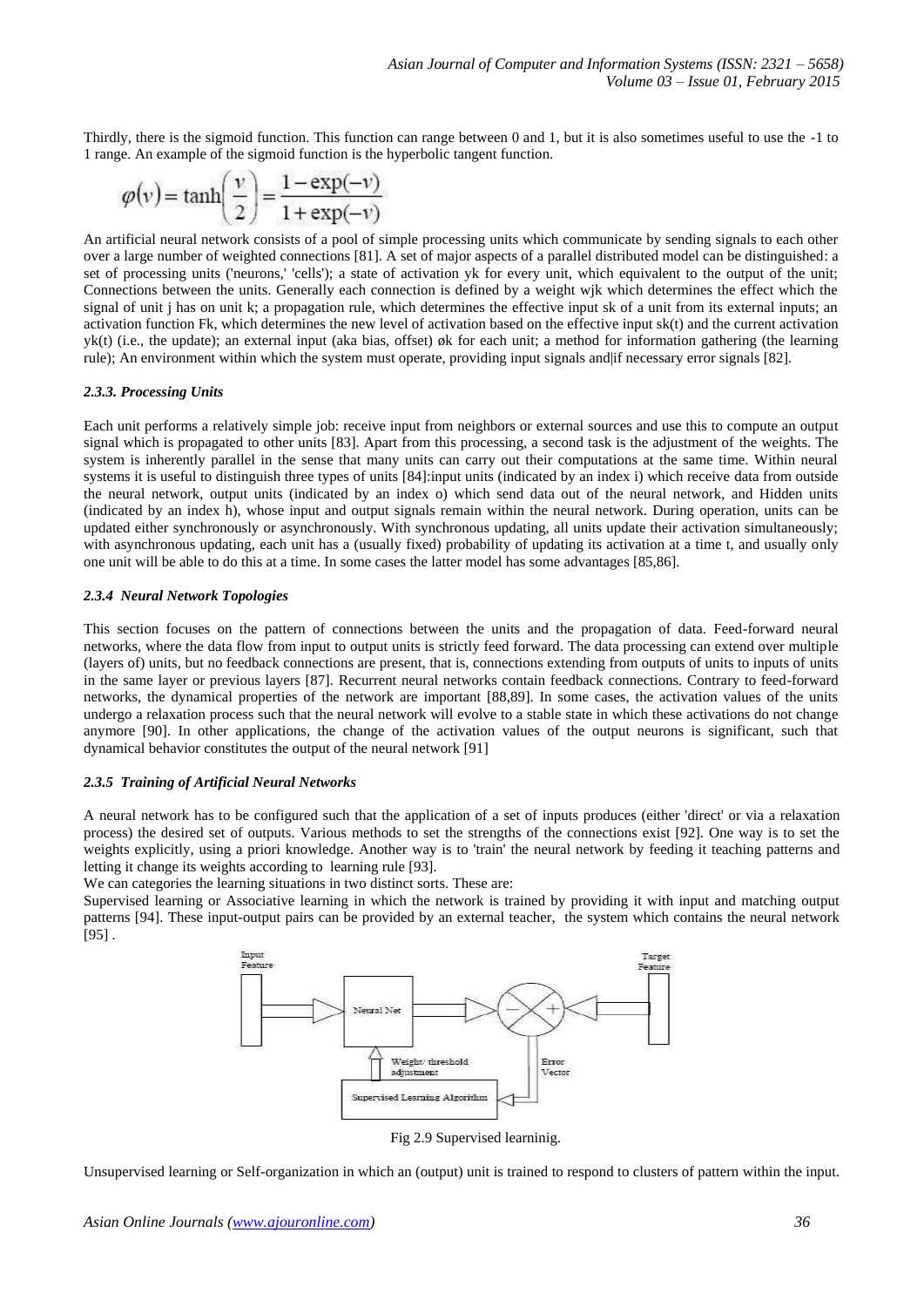Thirdly, there is the sigmoid function. This function can range between 0 and 1, but it is also sometimes useful to use the -1 to 1 range. An example of the sigmoid function is the hyperbolic tangent function.

$$
\varphi(v) = \tanh\left(\frac{v}{2}\right) = \frac{1 - \exp(-v)}{1 + \exp(-v)}
$$

An artificial neural network consists of a pool of simple processing units which communicate by sending signals to each other over a large number of weighted connections [81]. A set of major aspects of a parallel distributed model can be distinguished: a set of processing units ('neurons,' 'cells'); a state of activation yk for every unit, which equivalent to the output of the unit; Connections between the units. Generally each connection is defined by a weight wjk which determines the effect which the signal of unit j has on unit k; a propagation rule, which determines the effective input sk of a unit from its external inputs; an activation function Fk, which determines the new level of activation based on the effective input sk(t) and the current activation yk(t) (i.e., the update); an external input (aka bias, offset) øk for each unit; a method for information gathering (the learning rule); An environment within which the system must operate, providing input signals and|if necessary error signals [82].

#### *2.3.3. Processing Units*

Each unit performs a relatively simple job: receive input from neighbors or external sources and use this to compute an output signal which is propagated to other units [83]. Apart from this processing, a second task is the adjustment of the weights. The system is inherently parallel in the sense that many units can carry out their computations at the same time. Within neural systems it is useful to distinguish three types of units [84]:input units (indicated by an index i) which receive data from outside the neural network, output units (indicated by an index o) which send data out of the neural network, and Hidden units (indicated by an index h), whose input and output signals remain within the neural network. During operation, units can be updated either synchronously or asynchronously. With synchronous updating, all units update their activation simultaneously; with asynchronous updating, each unit has a (usually fixed) probability of updating its activation at a time t, and usually only one unit will be able to do this at a time. In some cases the latter model has some advantages [85,86].

## *2.3.4 Neural Network Topologies*

This section focuses on the pattern of connections between the units and the propagation of data. Feed-forward neural networks, where the data flow from input to output units is strictly feed forward. The data processing can extend over multiple (layers of) units, but no feedback connections are present, that is, connections extending from outputs of units to inputs of units in the same layer or previous layers [87]. Recurrent neural networks contain feedback connections. Contrary to feed-forward networks, the dynamical properties of the network are important [88,89]. In some cases, the activation values of the units undergo a relaxation process such that the neural network will evolve to a stable state in which these activations do not change anymore [90]. In other applications, the change of the activation values of the output neurons is significant, such that dynamical behavior constitutes the output of the neural network [91]

#### *2.3.5 Training of Artificial Neural Networks*

A neural network has to be configured such that the application of a set of inputs produces (either 'direct' or via a relaxation process) the desired set of outputs. Various methods to set the strengths of the connections exist [92]. One way is to set the weights explicitly, using a priori knowledge. Another way is to 'train' the neural network by feeding it teaching patterns and letting it change its weights according to learning rule [93].

We can categories the learning situations in two distinct sorts. These are:

Supervised learning or Associative learning in which the network is trained by providing it with input and matching output patterns [94]. These input-output pairs can be provided by an external teacher, the system which contains the neural network [95] .



Fig 2.9 Supervised learninig.

Unsupervised learning or Self-organization in which an (output) unit is trained to respond to clusters of pattern within the input.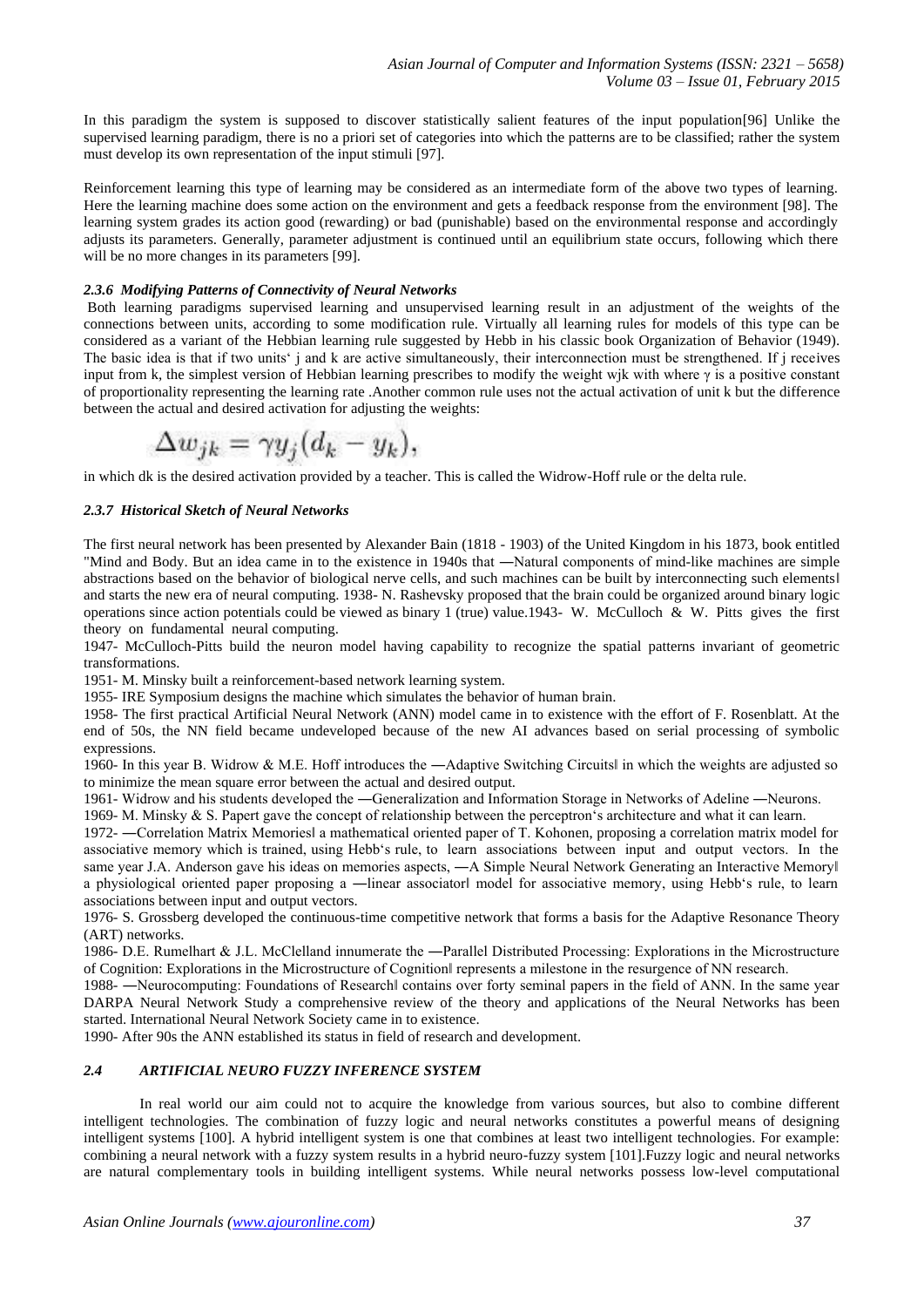In this paradigm the system is supposed to discover statistically salient features of the input population[96] Unlike the supervised learning paradigm, there is no a priori set of categories into which the patterns are to be classified; rather the system must develop its own representation of the input stimuli [97].

Reinforcement learning this type of learning may be considered as an intermediate form of the above two types of learning. Here the learning machine does some action on the environment and gets a feedback response from the environment [98]. The learning system grades its action good (rewarding) or bad (punishable) based on the environmental response and accordingly adjusts its parameters. Generally, parameter adjustment is continued until an equilibrium state occurs, following which there will be no more changes in its parameters [99].

## *2.3.6 Modifying Patterns of Connectivity of Neural Networks*

Both learning paradigms supervised learning and unsupervised learning result in an adjustment of the weights of the connections between units, according to some modification rule. Virtually all learning rules for models of this type can be considered as a variant of the Hebbian learning rule suggested by Hebb in his classic book Organization of Behavior (1949). The basic idea is that if two units' j and k are active simultaneously, their interconnection must be strengthened. If j receives input from k, the simplest version of Hebbian learning prescribes to modify the weight wjk with where γ is a positive constant of proportionality representing the learning rate .Another common rule uses not the actual activation of unit k but the difference between the actual and desired activation for adjusting the weights:

$$
\Delta w_{jk} = \gamma y_j (d_k - y_k),
$$

in which dk is the desired activation provided by a teacher. This is called the Widrow-Hoff rule or the delta rule.

#### *2.3.7 Historical Sketch of Neural Networks*

The first neural network has been presented by Alexander Bain (1818 - 1903) of the United Kingdom in his 1873, book entitled "Mind and Body. But an idea came in to the existence in 1940s that ―Natural components of mind-like machines are simple abstractions based on the behavior of biological nerve cells, and such machines can be built by interconnecting such elements‖ and starts the new era of neural computing. 1938- N. Rashevsky proposed that the brain could be organized around binary logic operations since action potentials could be viewed as binary 1 (true) value.1943- W. McCulloch & W. Pitts gives the first theory on fundamental neural computing.

1947- McCulloch-Pitts build the neuron model having capability to recognize the spatial patterns invariant of geometric transformations.

1951- M. Minsky built a reinforcement-based network learning system.

1955- IRE Symposium designs the machine which simulates the behavior of human brain.

1958- The first practical Artificial Neural Network (ANN) model came in to existence with the effort of F. Rosenblatt. At the end of 50s, the NN field became undeveloped because of the new AI advances based on serial processing of symbolic expressions.

1960- In this year B. Widrow & M.E. Hoff introduces the —Adaptive Switching Circuitsl in which the weights are adjusted so to minimize the mean square error between the actual and desired output.

1961- Widrow and his students developed the ―Generalization and Information Storage in Networks of Adeline ―Neurons.

1969- M. Minsky & S. Papert gave the concept of relationship between the perceptron's architecture and what it can learn.

1972- ―Correlation Matrix Memories‖ a mathematical oriented paper of T. Kohonen, proposing a correlation matrix model for associative memory which is trained, using Hebb's rule, to learn associations between input and output vectors. In the same year J.A. Anderson gave his ideas on memories aspects, —A Simple Neural Network Generating an Interactive Memory a physiological oriented paper proposing a —linear associatorl model for associative memory, using Hebb's rule, to learn associations between input and output vectors.

1976- S. Grossberg developed the continuous-time competitive network that forms a basis for the Adaptive Resonance Theory (ART) networks.

1986- D.E. Rumelhart & J.L. McClelland innumerate the ―Parallel Distributed Processing: Explorations in the Microstructure of Cognition: Explorations in the Microstructure of Cognition‖ represents a milestone in the resurgence of NN research.

1988- ―Neurocomputing: Foundations of Research‖ contains over forty seminal papers in the field of ANN. In the same year DARPA Neural Network Study a comprehensive review of the theory and applications of the Neural Networks has been started. International Neural Network Society came in to existence.

1990- After 90s the ANN established its status in field of research and development.

## *2.4 ARTIFICIAL NEURO FUZZY INFERENCE SYSTEM*

In real world our aim could not to acquire the knowledge from various sources, but also to combine different intelligent technologies. The combination of fuzzy logic and neural networks constitutes a powerful means of designing intelligent systems [100]. A hybrid intelligent system is one that combines at least two intelligent technologies. For example: combining a neural network with a fuzzy system results in a hybrid neuro-fuzzy system [101].Fuzzy logic and neural networks are natural complementary tools in building intelligent systems. While neural networks possess low-level computational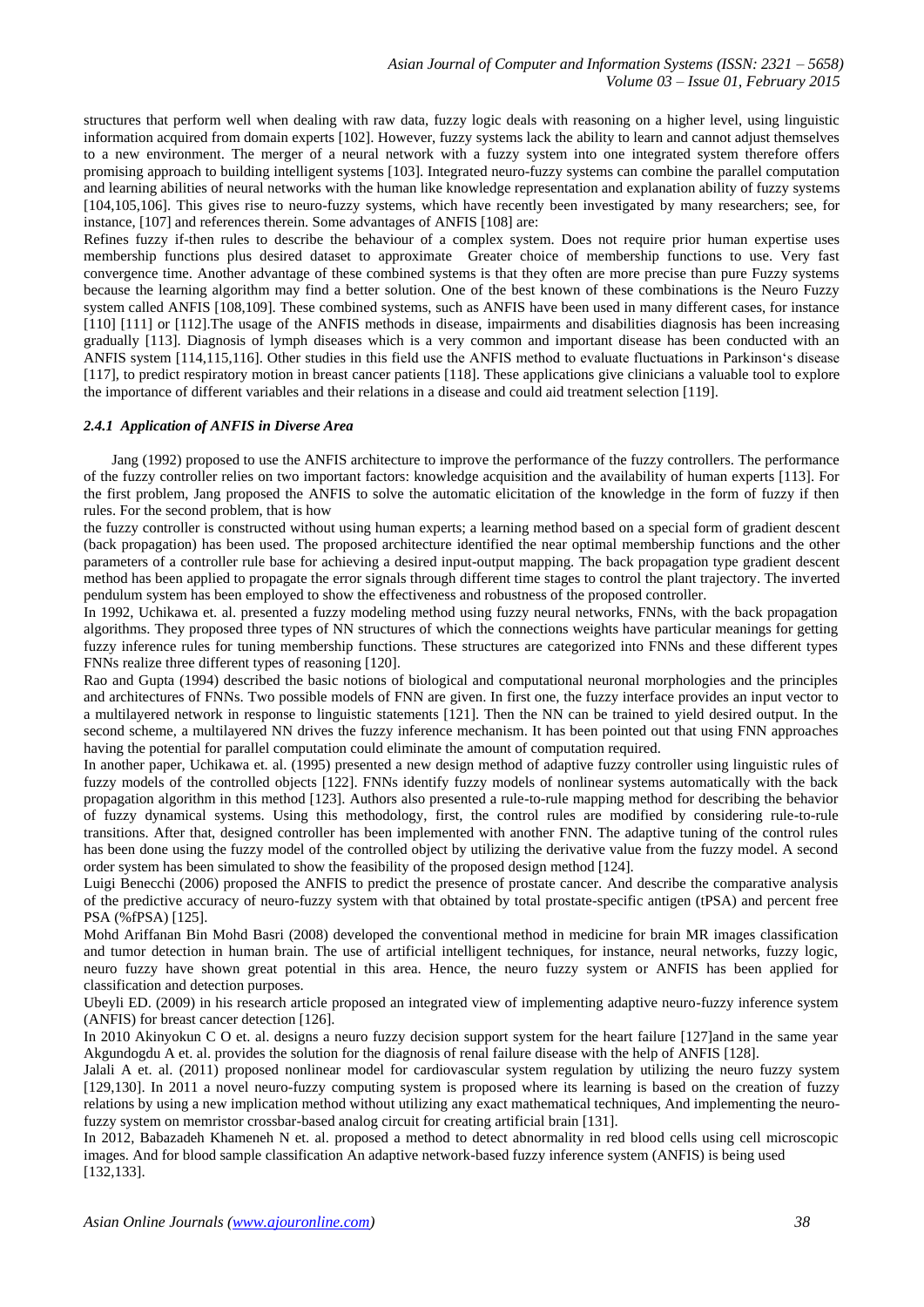structures that perform well when dealing with raw data, fuzzy logic deals with reasoning on a higher level, using linguistic information acquired from domain experts [102]. However, fuzzy systems lack the ability to learn and cannot adjust themselves to a new environment. The merger of a neural network with a fuzzy system into one integrated system therefore offers promising approach to building intelligent systems [103]. Integrated neuro-fuzzy systems can combine the parallel computation and learning abilities of neural networks with the human like knowledge representation and explanation ability of fuzzy systems [104,105,106]. This gives rise to neuro-fuzzy systems, which have recently been investigated by many researchers; see, for instance, [107] and references therein. Some advantages of ANFIS [108] are:

Refines fuzzy if-then rules to describe the behaviour of a complex system. Does not require prior human expertise uses membership functions plus desired dataset to approximate Greater choice of membership functions to use. Very fast convergence time. Another advantage of these combined systems is that they often are more precise than pure Fuzzy systems because the learning algorithm may find a better solution. One of the best known of these combinations is the Neuro Fuzzy system called ANFIS [108,109]. These combined systems, such as ANFIS have been used in many different cases, for instance [110] [111] or [112].The usage of the ANFIS methods in disease, impairments and disabilities diagnosis has been increasing gradually [113]. Diagnosis of lymph diseases which is a very common and important disease has been conducted with an ANFIS system [114,115,116]. Other studies in this field use the ANFIS method to evaluate fluctuations in Parkinson's disease [117], to predict respiratory motion in breast cancer patients [118]. These applications give clinicians a valuable tool to explore the importance of different variables and their relations in a disease and could aid treatment selection [119].

#### *2.4.1 Application of ANFIS in Diverse Area*

Jang (1992) proposed to use the ANFIS architecture to improve the performance of the fuzzy controllers. The performance of the fuzzy controller relies on two important factors: knowledge acquisition and the availability of human experts [113]. For the first problem, Jang proposed the ANFIS to solve the automatic elicitation of the knowledge in the form of fuzzy if then rules. For the second problem, that is how

the fuzzy controller is constructed without using human experts; a learning method based on a special form of gradient descent (back propagation) has been used. The proposed architecture identified the near optimal membership functions and the other parameters of a controller rule base for achieving a desired input-output mapping. The back propagation type gradient descent method has been applied to propagate the error signals through different time stages to control the plant trajectory. The inverted pendulum system has been employed to show the effectiveness and robustness of the proposed controller.

In 1992, Uchikawa et. al. presented a fuzzy modeling method using fuzzy neural networks, FNNs, with the back propagation algorithms. They proposed three types of NN structures of which the connections weights have particular meanings for getting fuzzy inference rules for tuning membership functions. These structures are categorized into FNNs and these different types FNNs realize three different types of reasoning [120].

Rao and Gupta (1994) described the basic notions of biological and computational neuronal morphologies and the principles and architectures of FNNs. Two possible models of FNN are given. In first one, the fuzzy interface provides an input vector to a multilayered network in response to linguistic statements [121]. Then the NN can be trained to yield desired output. In the second scheme, a multilayered NN drives the fuzzy inference mechanism. It has been pointed out that using FNN approaches having the potential for parallel computation could eliminate the amount of computation required.

In another paper, Uchikawa et. al. (1995) presented a new design method of adaptive fuzzy controller using linguistic rules of fuzzy models of the controlled objects [122]. FNNs identify fuzzy models of nonlinear systems automatically with the back propagation algorithm in this method [123]. Authors also presented a rule-to-rule mapping method for describing the behavior of fuzzy dynamical systems. Using this methodology, first, the control rules are modified by considering rule-to-rule transitions. After that, designed controller has been implemented with another FNN. The adaptive tuning of the control rules has been done using the fuzzy model of the controlled object by utilizing the derivative value from the fuzzy model. A second order system has been simulated to show the feasibility of the proposed design method [124].

Luigi Benecchi (2006) proposed the ANFIS to predict the presence of prostate cancer. And describe the comparative analysis of the predictive accuracy of neuro-fuzzy system with that obtained by total prostate-specific antigen (tPSA) and percent free PSA (%fPSA) [125].

Mohd Ariffanan Bin Mohd Basri (2008) developed the conventional method in medicine for brain MR images classification and tumor detection in human brain. The use of artificial intelligent techniques, for instance, neural networks, fuzzy logic, neuro fuzzy have shown great potential in this area. Hence, the neuro fuzzy system or ANFIS has been applied for classification and detection purposes.

Ubeyli ED. (2009) in his research article proposed an integrated view of implementing adaptive neuro-fuzzy inference system (ANFIS) for breast cancer detection [126].

In 2010 Akinyokun C O et. al. designs a neuro fuzzy decision support system for the heart failure [127]and in the same year Akgundogdu A et. al. provides the solution for the diagnosis of renal failure disease with the help of ANFIS [128].

Jalali A et. al. (2011) proposed nonlinear model for cardiovascular system regulation by utilizing the neuro fuzzy system [129,130]. In 2011 a novel neuro-fuzzy computing system is proposed where its learning is based on the creation of fuzzy relations by using a new implication method without utilizing any exact mathematical techniques, And implementing the neurofuzzy system on memristor crossbar-based analog circuit for creating artificial brain [131].

In 2012, Babazadeh Khameneh N et. al. proposed a method to detect abnormality in red blood cells using cell microscopic images. And for blood sample classification An adaptive network-based fuzzy inference system (ANFIS) is being used [132,133].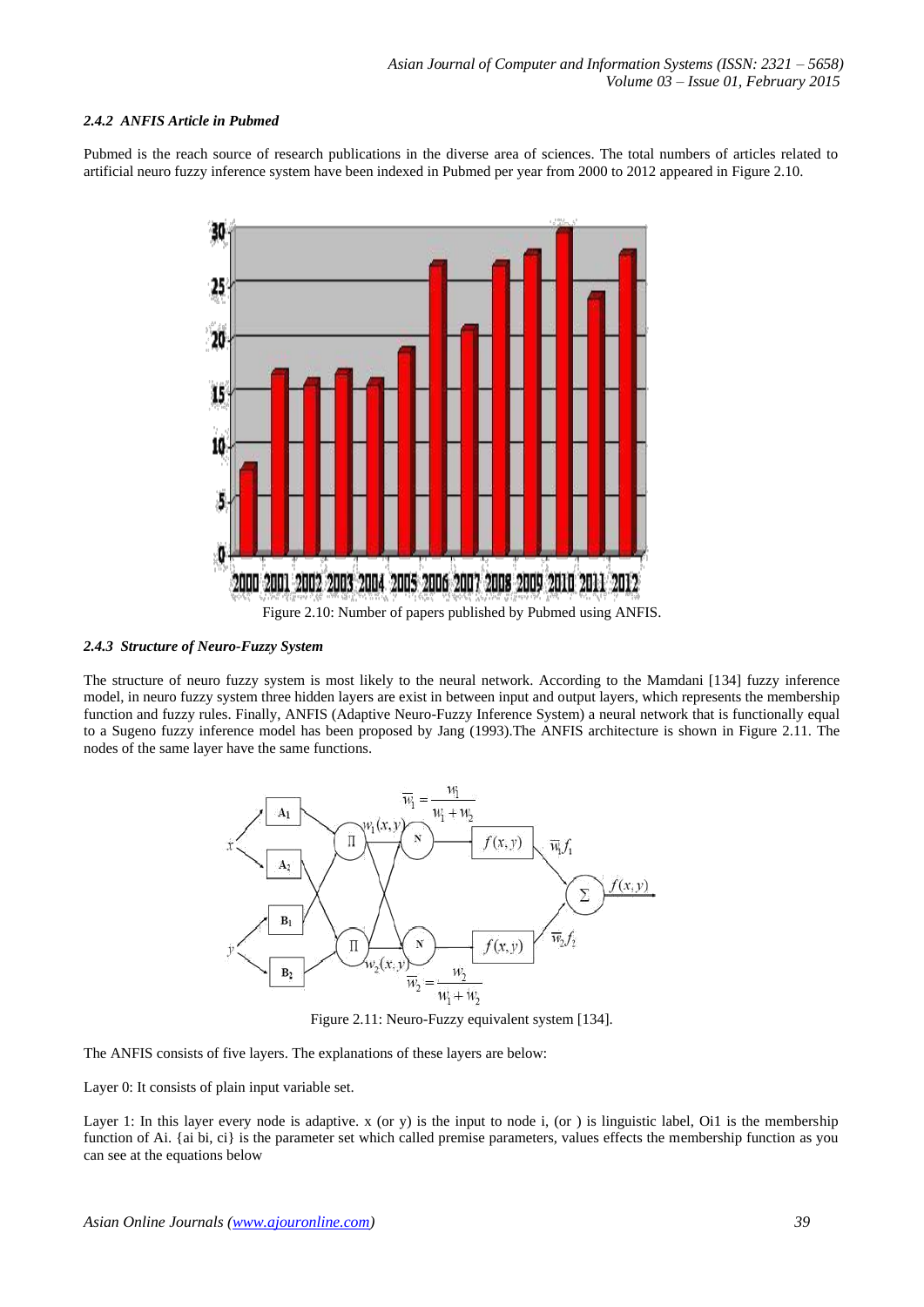## *2.4.2 ANFIS Article in Pubmed*

Pubmed is the reach source of research publications in the diverse area of sciences. The total numbers of articles related to artificial neuro fuzzy inference system have been indexed in Pubmed per year from 2000 to 2012 appeared in Figure 2.10.



#### *2.4.3 Structure of Neuro-Fuzzy System*

The structure of neuro fuzzy system is most likely to the neural network. According to the Mamdani [134] fuzzy inference model, in neuro fuzzy system three hidden layers are exist in between input and output layers, which represents the membership function and fuzzy rules. Finally, ANFIS (Adaptive Neuro-Fuzzy Inference System) a neural network that is functionally equal to a Sugeno fuzzy inference model has been proposed by Jang (1993).The ANFIS architecture is shown in Figure 2.11. The nodes of the same layer have the same functions.



Figure 2.11: Neuro-Fuzzy equivalent system [134].

The ANFIS consists of five layers. The explanations of these layers are below:

Layer 0: It consists of plain input variable set.

Layer 1: In this layer every node is adaptive.  $x$  (or y) is the input to node i, (or ) is linguistic label, Oi1 is the membership function of Ai. {ai bi, ci} is the parameter set which called premise parameters, values effects the membership function as you can see at the equations below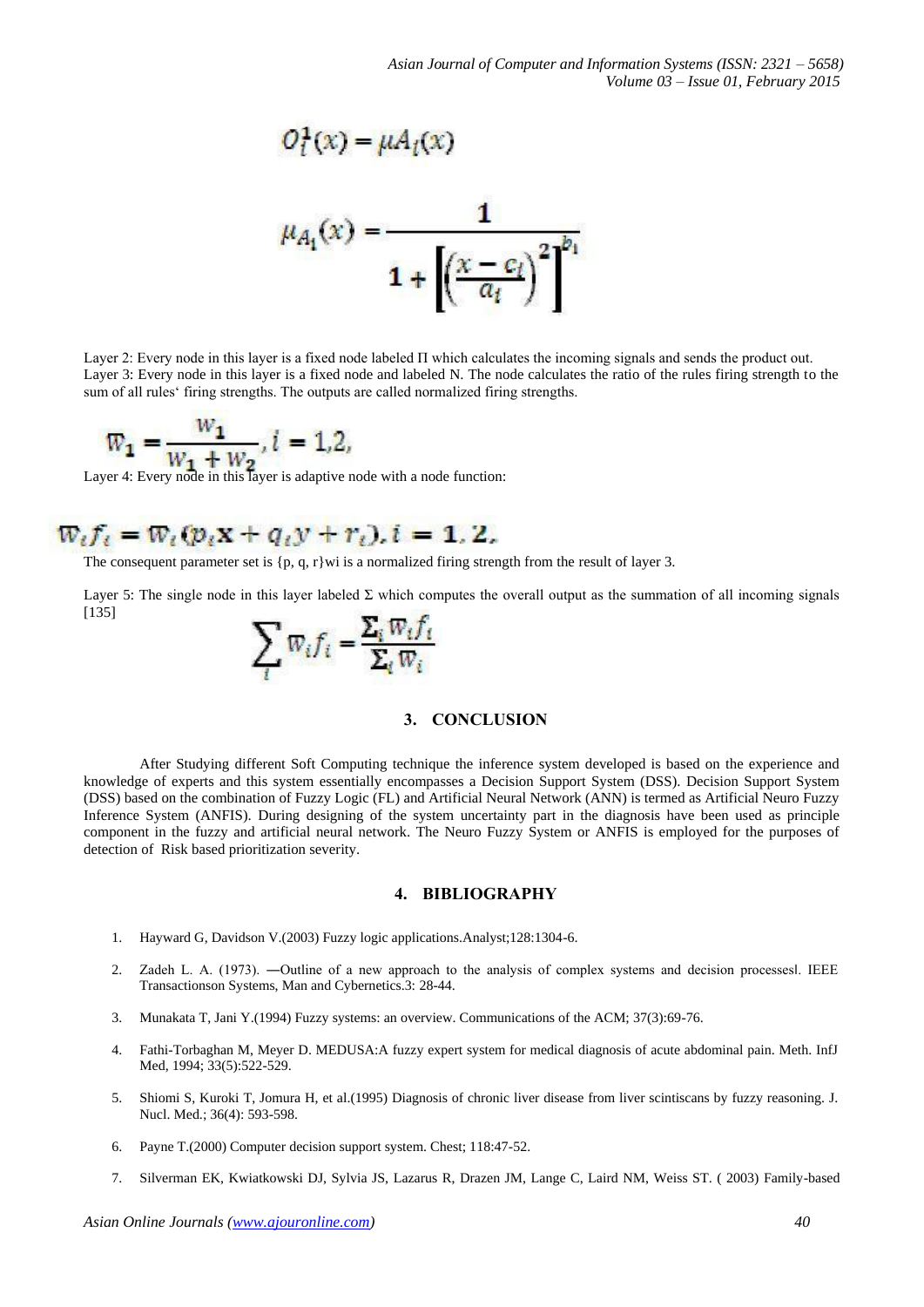$$
O_t^1(x) = \mu A_t(x)
$$

$$
\mu_{A_1}(x) = \frac{1}{1 + \left[\left(\frac{x - c_t}{a_t}\right)^2\right]^{b_1}}
$$

Layer 2: Every node in this layer is a fixed node labeled Π which calculates the incoming signals and sends the product out. Layer 3: Every node in this layer is a fixed node and labeled N. The node calculates the ratio of the rules firing strength to the sum of all rules' firing strengths. The outputs are called normalized firing strengths.

$$
\overline{w}_1 = \frac{w_1}{w_1 + w_2}, i = 1, 2,
$$

Layer 4: Every node in this layer is adaptive node with a node function:

 $W_i f_i = W_i (p_i X + q_i Y + r_i), i = 1, 2,$ 

The consequent parameter set is  $\{p, q, r\}$  wi is a normalized firing strength from the result of layer 3.

Layer 5: The single node in this layer labeled  $\Sigma$  which computes the overall output as the summation of all incoming signals [135]

$$
\sum_i \overline{w}_i f_i = \frac{\Sigma_i \overline{w}_i f_i}{\Sigma_i \overline{w}_i}
$$

## **3. CONCLUSION**

After Studying different Soft Computing technique the inference system developed is based on the experience and knowledge of experts and this system essentially encompasses a Decision Support System (DSS). Decision Support System (DSS) based on the combination of Fuzzy Logic (FL) and Artificial Neural Network (ANN) is termed as Artificial Neuro Fuzzy Inference System (ANFIS). During designing of the system uncertainty part in the diagnosis have been used as principle component in the fuzzy and artificial neural network. The Neuro Fuzzy System or ANFIS is employed for the purposes of detection of Risk based prioritization severity.

## **4. BIBLIOGRAPHY**

- 1. Hayward G, Davidson V.(2003) Fuzzy logic applications.Analyst;128:1304-6.
- 2. Zadeh L. A. (1973). —Outline of a new approach to the analysis of complex systems and decision processes. IEEE Transactionson Systems, Man and Cybernetics.3: 28-44.
- 3. Munakata T, Jani Y.(1994) Fuzzy systems: an overview. Communications of the ACM; 37(3):69-76.
- 4. Fathi-Torbaghan M, Meyer D. MEDUSA:A fuzzy expert system for medical diagnosis of acute abdominal pain. Meth. InfJ Med, 1994; 33(5):522-529.
- 5. Shiomi S, Kuroki T, Jomura H, et al.(1995) Diagnosis of chronic liver disease from liver scintiscans by fuzzy reasoning. J. Nucl. Med.; 36(4): 593-598.
- 6. Payne T.(2000) Computer decision support system. Chest; 118:47-52.
- 7. Silverman EK, Kwiatkowski DJ, Sylvia JS, Lazarus R, Drazen JM, Lange C, Laird NM, Weiss ST. ( 2003) Family-based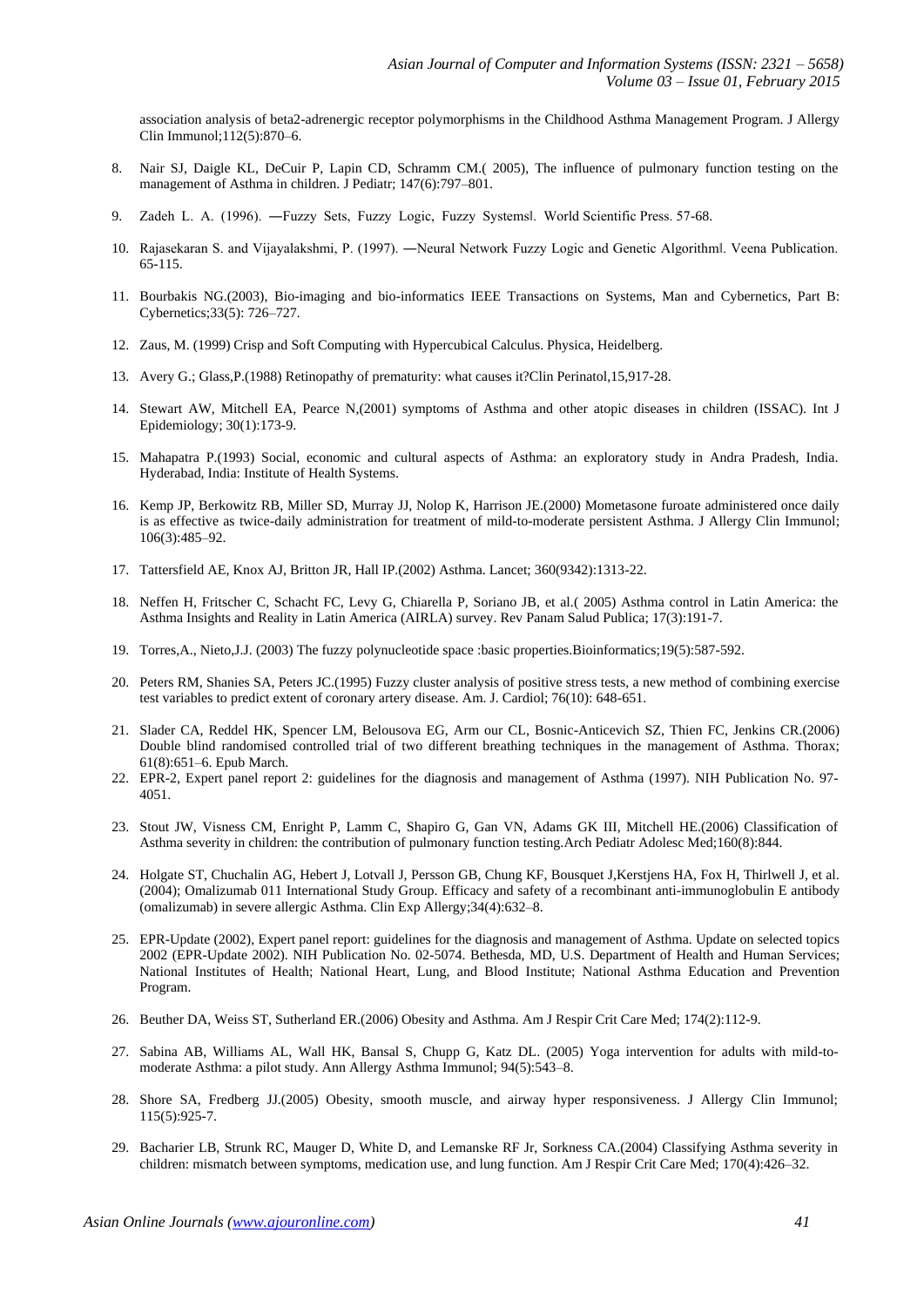association analysis of beta2-adrenergic receptor polymorphisms in the Childhood Asthma Management Program. J Allergy Clin Immunol;112(5):870–6.

- 8. Nair SJ, Daigle KL, DeCuir P, Lapin CD, Schramm CM.( 2005), The influence of pulmonary function testing on the management of Asthma in children. J Pediatr; 147(6):797–801.
- 9. Zadeh L. A. (1996). Fuzzy Sets, Fuzzy Logic, Fuzzy Systemsl. World Scientific Press. 57-68.
- 10. Rajasekaran S. and Vijayalakshmi, P. (1997). ―Neural Network Fuzzy Logic and Genetic Algorithm‖. Veena Publication. 65-115.
- 11. Bourbakis NG.(2003), Bio-imaging and bio-informatics IEEE Transactions on Systems, Man and Cybernetics, Part B: Cybernetics;33(5): 726–727.
- 12. Zaus, M. (1999) Crisp and Soft Computing with Hypercubical Calculus. Physica, Heidelberg.
- 13. Avery G.; Glass,P.(1988) Retinopathy of prematurity: what causes it?Clin Perinatol,15,917-28.
- 14. Stewart AW, Mitchell EA, Pearce N,(2001) symptoms of Asthma and other atopic diseases in children (ISSAC). Int J Epidemiology; 30(1):173-9.
- 15. Mahapatra P.(1993) Social, economic and cultural aspects of Asthma: an exploratory study in Andra Pradesh, India. Hyderabad, India: Institute of Health Systems.
- 16. Kemp JP, Berkowitz RB, Miller SD, Murray JJ, Nolop K, Harrison JE.(2000) Mometasone furoate administered once daily is as effective as twice-daily administration for treatment of mild-to-moderate persistent Asthma. J Allergy Clin Immunol; 106(3):485–92.
- 17. Tattersfield AE, Knox AJ, Britton JR, Hall IP.(2002) Asthma. Lancet; 360(9342):1313-22.
- 18. Neffen H, Fritscher C, Schacht FC, Levy G, Chiarella P, Soriano JB, et al.( 2005) Asthma control in Latin America: the Asthma Insights and Reality in Latin America (AIRLA) survey. Rev Panam Salud Publica; 17(3):191-7.
- 19. Torres,A., Nieto,J.J. (2003) The fuzzy polynucleotide space :basic properties.Bioinformatics;19(5):587-592.
- 20. Peters RM, Shanies SA, Peters JC.(1995) Fuzzy cluster analysis of positive stress tests, a new method of combining exercise test variables to predict extent of coronary artery disease. Am. J. Cardiol; 76(10): 648-651.
- 21. Slader CA, Reddel HK, Spencer LM, Belousova EG, Arm our CL, Bosnic-Anticevich SZ, Thien FC, Jenkins CR.(2006) Double blind randomised controlled trial of two different breathing techniques in the management of Asthma. Thorax; 61(8):651–6. Epub March.
- 22. EPR-2, Expert panel report 2: guidelines for the diagnosis and management of Asthma (1997). NIH Publication No. 97- 4051.
- 23. Stout JW, Visness CM, Enright P, Lamm C, Shapiro G, Gan VN, Adams GK III, Mitchell HE.(2006) Classification of Asthma severity in children: the contribution of pulmonary function testing.Arch Pediatr Adolesc Med;160(8):844.
- 24. Holgate ST, Chuchalin AG, Hebert J, Lotvall J, Persson GB, Chung KF, Bousquet J,Kerstjens HA, Fox H, Thirlwell J, et al. (2004); Omalizumab 011 International Study Group. Efficacy and safety of a recombinant anti-immunoglobulin E antibody (omalizumab) in severe allergic Asthma. Clin Exp Allergy;34(4):632–8.
- 25. EPR-Update (2002), Expert panel report: guidelines for the diagnosis and management of Asthma. Update on selected topics 2002 (EPR-Update 2002). NIH Publication No. 02-5074. Bethesda, MD, U.S. Department of Health and Human Services; National Institutes of Health; National Heart, Lung, and Blood Institute; National Asthma Education and Prevention Program.
- 26. Beuther DA, Weiss ST, Sutherland ER.(2006) Obesity and Asthma. Am J Respir Crit Care Med; 174(2):112-9.
- 27. Sabina AB, Williams AL, Wall HK, Bansal S, Chupp G, Katz DL. (2005) Yoga intervention for adults with mild-tomoderate Asthma: a pilot study. Ann Allergy Asthma Immunol; 94(5):543–8.
- 28. Shore SA, Fredberg JJ.(2005) Obesity, smooth muscle, and airway hyper responsiveness. J Allergy Clin Immunol; 115(5):925-7.
- 29. Bacharier LB, Strunk RC, Mauger D, White D, and Lemanske RF Jr, Sorkness CA.(2004) Classifying Asthma severity in children: mismatch between symptoms, medication use, and lung function. Am J Respir Crit Care Med; 170(4):426–32.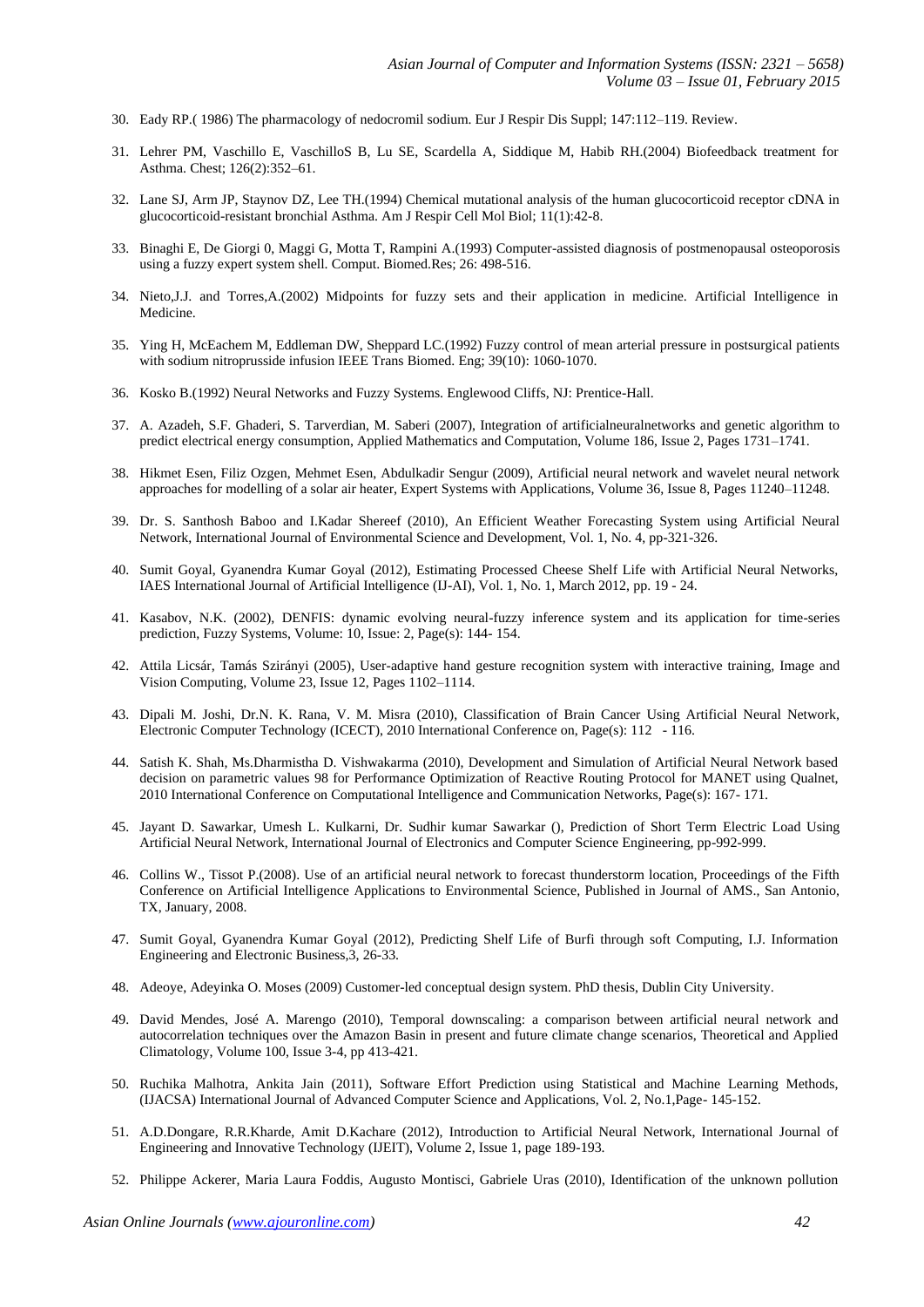- 30. Eady RP.( 1986) The pharmacology of nedocromil sodium. Eur J Respir Dis Suppl; 147:112–119. Review.
- 31. Lehrer PM, Vaschillo E, VaschilloS B, Lu SE, Scardella A, Siddique M, Habib RH.(2004) Biofeedback treatment for Asthma. Chest; 126(2):352–61.
- 32. Lane SJ, Arm JP, Staynov DZ, Lee TH.(1994) Chemical mutational analysis of the human glucocorticoid receptor cDNA in glucocorticoid-resistant bronchial Asthma. Am J Respir Cell Mol Biol; 11(1):42-8.
- 33. Binaghi E, De Giorgi 0, Maggi G, Motta T, Rampini A.(1993) Computer-assisted diagnosis of postmenopausal osteoporosis using a fuzzy expert system shell. Comput. Biomed.Res; 26: 498-516.
- 34. Nieto,J.J. and Torres,A.(2002) Midpoints for fuzzy sets and their application in medicine. Artificial Intelligence in Medicine.
- 35. Ying H, McEachem M, Eddleman DW, Sheppard LC.(1992) Fuzzy control of mean arterial pressure in postsurgical patients with sodium nitroprusside infusion IEEE Trans Biomed. Eng; 39(10): 1060-1070.
- 36. Kosko B.(1992) Neural Networks and Fuzzy Systems. Englewood Cliffs, NJ: Prentice-Hall.
- 37. A. Azadeh, S.F. Ghaderi, S. Tarverdian, M. Saberi (2007), Integration of artificialneuralnetworks and genetic algorithm to predict electrical energy consumption, Applied Mathematics and Computation, Volume 186, Issue 2, Pages 1731–1741.
- 38. Hikmet Esen, Filiz Ozgen, Mehmet Esen, Abdulkadir Sengur (2009), Artificial neural network and wavelet neural network approaches for modelling of a solar air heater, Expert Systems with Applications, Volume 36, Issue 8, Pages 11240–11248.
- 39. Dr. S. Santhosh Baboo and I.Kadar Shereef (2010), An Efficient Weather Forecasting System using Artificial Neural Network, International Journal of Environmental Science and Development, Vol. 1, No. 4, pp-321-326.
- 40. Sumit Goyal, Gyanendra Kumar Goyal (2012), Estimating Processed Cheese Shelf Life with Artificial Neural Networks, IAES International Journal of Artificial Intelligence (IJ-AI), Vol. 1, No. 1, March 2012, pp. 19 - 24.
- 41. Kasabov, N.K. (2002), DENFIS: dynamic evolving neural-fuzzy inference system and its application for time-series prediction, Fuzzy Systems, Volume: 10, Issue: 2, Page(s): 144- 154.
- 42. Attila Licsár, Tamás Szirányi (2005), User-adaptive hand gesture recognition system with interactive training, Image and Vision Computing, Volume 23, Issue 12, Pages 1102–1114.
- 43. Dipali M. Joshi, Dr.N. K. Rana, V. M. Misra (2010), Classification of Brain Cancer Using Artificial Neural Network, Electronic Computer Technology (ICECT), 2010 International Conference on, Page(s): 112 - 116.
- 44. Satish K. Shah, Ms.Dharmistha D. Vishwakarma (2010), Development and Simulation of Artificial Neural Network based decision on parametric values 98 for Performance Optimization of Reactive Routing Protocol for MANET using Qualnet, 2010 International Conference on Computational Intelligence and Communication Networks, Page(s): 167- 171.
- 45. Jayant D. Sawarkar, Umesh L. Kulkarni, Dr. Sudhir kumar Sawarkar (), Prediction of Short Term Electric Load Using Artificial Neural Network, International Journal of Electronics and Computer Science Engineering, pp-992-999.
- 46. Collins W., Tissot P.(2008). Use of an artificial neural network to forecast thunderstorm location, Proceedings of the Fifth Conference on Artificial Intelligence Applications to Environmental Science, Published in Journal of AMS., San Antonio, TX, January, 2008.
- 47. Sumit Goyal, Gyanendra Kumar Goyal (2012), Predicting Shelf Life of Burfi through soft Computing, I.J. Information Engineering and Electronic Business,3, 26-33.
- 48. Adeoye, Adeyinka O. Moses (2009) Customer-led conceptual design system. PhD thesis, Dublin City University.
- 49. David Mendes, José A. Marengo (2010), Temporal downscaling: a comparison between artificial neural network and autocorrelation techniques over the Amazon Basin in present and future climate change scenarios, Theoretical and Applied Climatology, Volume 100, Issue 3-4, pp 413-421.
- 50. Ruchika Malhotra, Ankita Jain (2011), Software Effort Prediction using Statistical and Machine Learning Methods, (IJACSA) International Journal of Advanced Computer Science and Applications, Vol. 2, No.1,Page- 145-152.
- 51. A.D.Dongare, R.R.Kharde, Amit D.Kachare (2012), Introduction to Artificial Neural Network, International Journal of Engineering and Innovative Technology (IJEIT), Volume 2, Issue 1, page 189-193.
- 52. Philippe Ackerer, Maria Laura Foddis, Augusto Montisci, Gabriele Uras (2010), Identification of the unknown pollution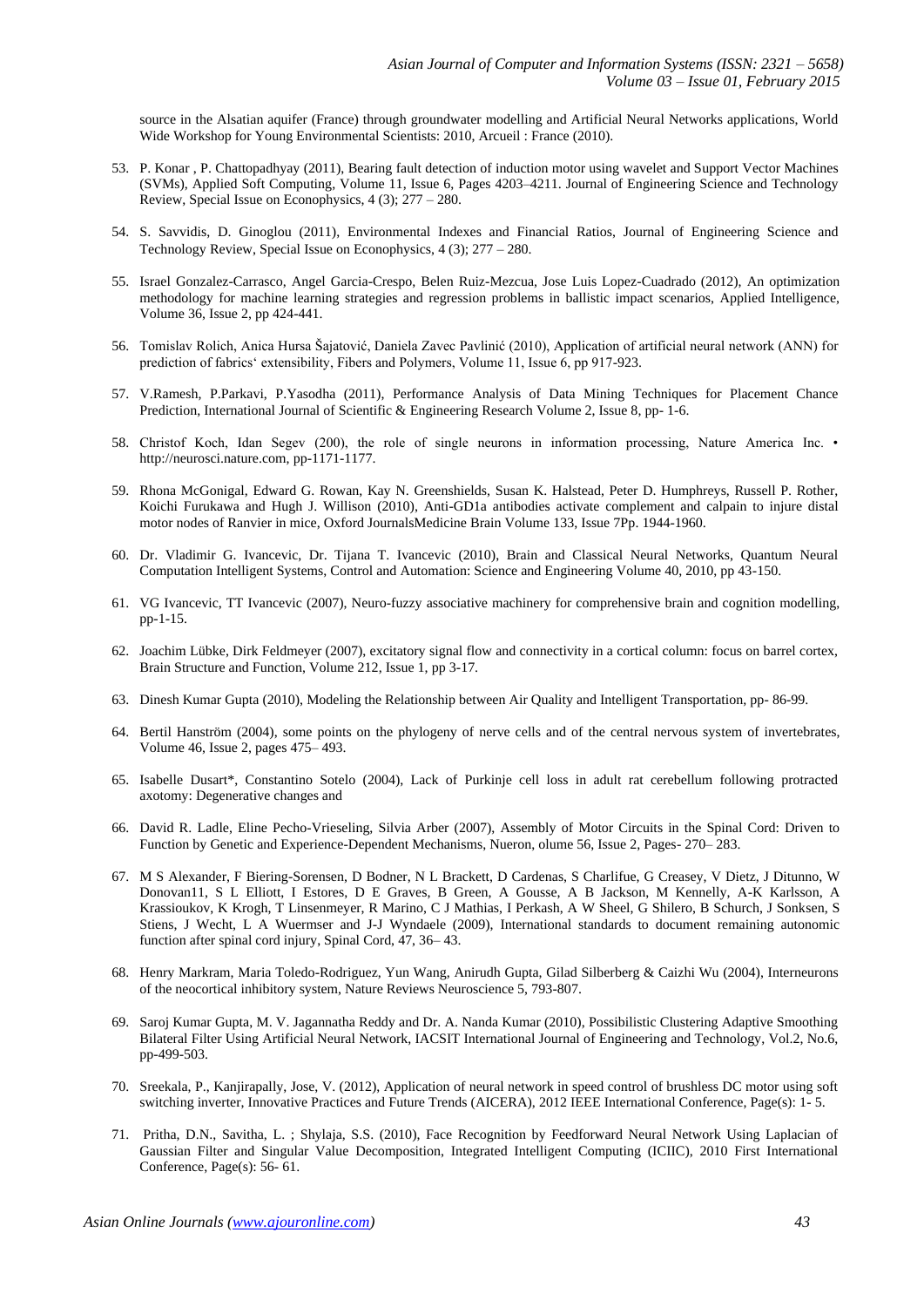source in the Alsatian aquifer (France) through groundwater modelling and Artificial Neural Networks applications, World Wide Workshop for Young Environmental Scientists: 2010, Arcueil : France (2010).

- 53. P. Konar , P. Chattopadhyay (2011), Bearing fault detection of induction motor using wavelet and Support Vector Machines (SVMs), Applied Soft Computing, Volume 11, Issue 6, Pages 4203–4211. Journal of Engineering Science and Technology Review, Special Issue on Econophysics, 4 (3); 277 – 280.
- 54. S. Savvidis, D. Ginoglou (2011), Environmental Indexes and Financial Ratios, Journal of Engineering Science and Technology Review, Special Issue on Econophysics, 4 (3); 277 – 280.
- 55. Israel Gonzalez-Carrasco, Angel Garcia-Crespo, Belen Ruiz-Mezcua, Jose Luis Lopez-Cuadrado (2012), An optimization methodology for machine learning strategies and regression problems in ballistic impact scenarios, Applied Intelligence, Volume 36, Issue 2, pp 424-441.
- 56. Tomislav Rolich, Anica Hursa Šajatović, Daniela Zavec Pavlinić (2010), Application of artificial neural network (ANN) for prediction of fabrics' extensibility, Fibers and Polymers, Volume 11, Issue 6, pp 917-923.
- 57. V.Ramesh, P.Parkavi, P.Yasodha (2011), Performance Analysis of Data Mining Techniques for Placement Chance Prediction, International Journal of Scientific & Engineering Research Volume 2, Issue 8, pp- 1-6.
- 58. Christof Koch, Idan Segev (200), the role of single neurons in information processing, Nature America Inc. http://neurosci.nature.com, pp-1171-1177.
- 59. Rhona McGonigal, Edward G. Rowan, Kay N. Greenshields, Susan K. Halstead, Peter D. Humphreys, Russell P. Rother, Koichi Furukawa and Hugh J. Willison (2010), Anti-GD1a antibodies activate complement and calpain to injure distal motor nodes of Ranvier in mice, Oxford JournalsMedicine Brain Volume 133, Issue 7Pp. 1944-1960.
- 60. Dr. Vladimir G. Ivancevic, Dr. Tijana T. Ivancevic (2010), Brain and Classical Neural Networks, Quantum Neural Computation Intelligent Systems, Control and Automation: Science and Engineering Volume 40, 2010, pp 43-150.
- 61. VG Ivancevic, TT Ivancevic (2007), Neuro-fuzzy associative machinery for comprehensive brain and cognition modelling, pp-1-15.
- 62. Joachim Lübke, Dirk Feldmeyer (2007), excitatory signal flow and connectivity in a cortical column: focus on barrel cortex, Brain Structure and Function, Volume 212, Issue 1, pp 3-17.
- 63. Dinesh Kumar Gupta (2010), Modeling the Relationship between Air Quality and Intelligent Transportation, pp- 86-99.
- 64. Bertil Hanström (2004), some points on the phylogeny of nerve cells and of the central nervous system of invertebrates, Volume 46, Issue 2, pages 475– 493.
- 65. Isabelle Dusart\*, Constantino Sotelo (2004), Lack of Purkinje cell loss in adult rat cerebellum following protracted axotomy: Degenerative changes and
- 66. David R. Ladle, Eline Pecho-Vrieseling, Silvia Arber (2007), Assembly of Motor Circuits in the Spinal Cord: Driven to Function by Genetic and Experience-Dependent Mechanisms, Nueron, olume 56, Issue 2, Pages- 270– 283.
- 67. M S Alexander, F Biering-Sorensen, D Bodner, N L Brackett, D Cardenas, S Charlifue, G Creasey, V Dietz, J Ditunno, W Donovan11, S L Elliott, I Estores, D E Graves, B Green, A Gousse, A B Jackson, M Kennelly, A-K Karlsson, A Krassioukov, K Krogh, T Linsenmeyer, R Marino, C J Mathias, I Perkash, A W Sheel, G Shilero, B Schurch, J Sonksen, S Stiens, J Wecht, L A Wuermser and J-J Wyndaele (2009), International standards to document remaining autonomic function after spinal cord injury, Spinal Cord, 47, 36– 43.
- 68. Henry Markram, Maria Toledo-Rodriguez, Yun Wang, Anirudh Gupta, Gilad Silberberg & Caizhi Wu (2004), Interneurons of the neocortical inhibitory system, Nature Reviews Neuroscience 5, 793-807.
- 69. Saroj Kumar Gupta, M. V. Jagannatha Reddy and Dr. A. Nanda Kumar (2010), Possibilistic Clustering Adaptive Smoothing Bilateral Filter Using Artificial Neural Network, IACSIT International Journal of Engineering and Technology, Vol.2, No.6, pp-499-503.
- 70. Sreekala, P., Kanjirapally, Jose, V. (2012), Application of neural network in speed control of brushless DC motor using soft switching inverter, Innovative Practices and Future Trends (AICERA), 2012 IEEE International Conference, Page(s): 1- 5.
- 71. Pritha, D.N., Savitha, L. ; Shylaja, S.S. (2010), Face Recognition by Feedforward Neural Network Using Laplacian of Gaussian Filter and Singular Value Decomposition, Integrated Intelligent Computing (ICIIC), 2010 First International Conference, Page(s): 56- 61.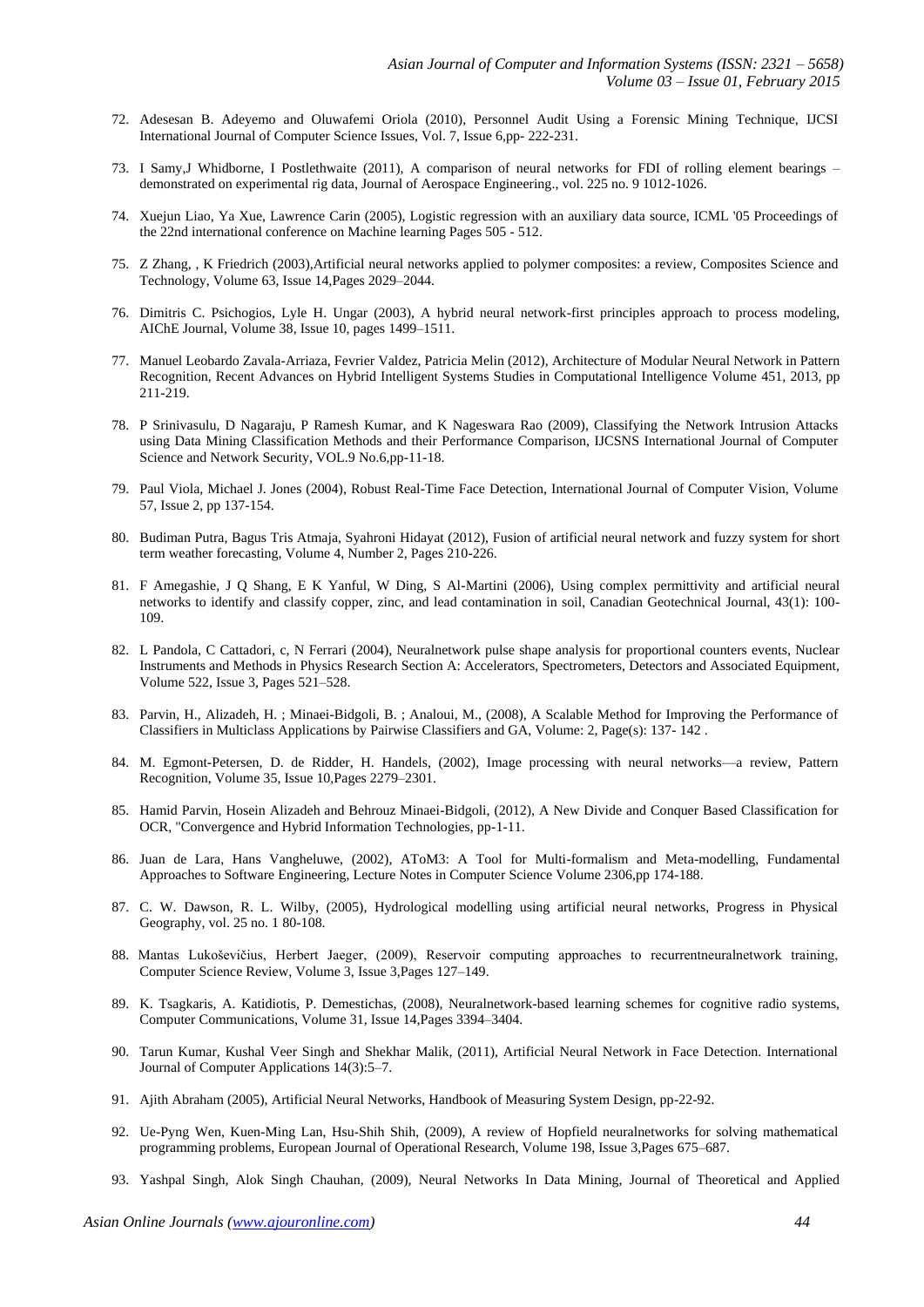- 72. Adesesan B. Adeyemo and Oluwafemi Oriola (2010), Personnel Audit Using a Forensic Mining Technique, IJCSI International Journal of Computer Science Issues, Vol. 7, Issue 6,pp- 222-231.
- 73. I Samy,J Whidborne, I Postlethwaite (2011), A comparison of neural networks for FDI of rolling element bearings demonstrated on experimental rig data, Journal of Aerospace Engineering., vol. 225 no. 9 1012-1026.
- 74. Xuejun Liao, Ya Xue, Lawrence Carin (2005), Logistic regression with an auxiliary data source, ICML '05 Proceedings of the 22nd international conference on Machine learning Pages 505 - 512.
- 75. Z Zhang, , K Friedrich (2003),Artificial neural networks applied to polymer composites: a review, Composites Science and Technology, Volume 63, Issue 14,Pages 2029–2044.
- 76. Dimitris C. Psichogios, Lyle H. Ungar (2003), A hybrid neural network-first principles approach to process modeling, AIChE Journal, Volume 38, Issue 10, pages 1499–1511.
- 77. Manuel Leobardo Zavala-Arriaza, Fevrier Valdez, Patricia Melin (2012), Architecture of Modular Neural Network in Pattern Recognition, Recent Advances on Hybrid Intelligent Systems Studies in Computational Intelligence Volume 451, 2013, pp 211-219.
- 78. P Srinivasulu, D Nagaraju, P Ramesh Kumar, and K Nageswara Rao (2009), Classifying the Network Intrusion Attacks using Data Mining Classification Methods and their Performance Comparison, IJCSNS International Journal of Computer Science and Network Security, VOL.9 No.6,pp-11-18.
- 79. Paul Viola, Michael J. Jones (2004), Robust Real-Time Face Detection, International Journal of Computer Vision, Volume 57, Issue 2, pp 137-154.
- 80. Budiman Putra, Bagus Tris Atmaja, Syahroni Hidayat (2012), Fusion of artificial neural network and fuzzy system for short term weather forecasting, Volume 4, Number 2, Pages 210-226.
- 81. F Amegashie, J Q Shang, E K Yanful, W Ding, S Al-Martini (2006), Using complex permittivity and artificial neural networks to identify and classify copper, zinc, and lead contamination in soil, Canadian Geotechnical Journal, 43(1): 100- 109.
- 82. L Pandola, C Cattadori, c, N Ferrari (2004), Neuralnetwork pulse shape analysis for proportional counters events, Nuclear Instruments and Methods in Physics Research Section A: Accelerators, Spectrometers, Detectors and Associated Equipment, Volume 522, Issue 3, Pages 521–528.
- 83. Parvin, H., Alizadeh, H. ; Minaei-Bidgoli, B. ; Analoui, M., (2008), A Scalable Method for Improving the Performance of Classifiers in Multiclass Applications by Pairwise Classifiers and GA, Volume: 2, Page(s): 137- 142 .
- 84. M. Egmont-Petersen, D. de Ridder, H. Handels, (2002), Image processing with neural networks—a review, Pattern Recognition, Volume 35, Issue 10,Pages 2279–2301.
- 85. Hamid Parvin, Hosein Alizadeh and Behrouz Minaei-Bidgoli, (2012), A New Divide and Conquer Based Classification for OCR, "Convergence and Hybrid Information Technologies, pp-1-11.
- 86. Juan de Lara, Hans Vangheluwe, (2002), AToM3: A Tool for Multi-formalism and Meta-modelling, Fundamental Approaches to Software Engineering, Lecture Notes in Computer Science Volume 2306,pp 174-188.
- 87. C. W. Dawson, R. L. Wilby, (2005), Hydrological modelling using artificial neural networks, Progress in Physical Geography, vol. 25 no. 1 80-108.
- 88. Mantas Lukoševičius, Herbert Jaeger, (2009), Reservoir computing approaches to recurrentneuralnetwork training, Computer Science Review, Volume 3, Issue 3,Pages 127–149.
- 89. K. Tsagkaris, A. Katidiotis, P. Demestichas, (2008), Neuralnetwork-based learning schemes for cognitive radio systems, Computer Communications, Volume 31, Issue 14,Pages 3394–3404.
- 90. Tarun Kumar, Kushal Veer Singh and Shekhar Malik, (2011), Artificial Neural Network in Face Detection. International Journal of Computer Applications 14(3):5–7.
- 91. Ajith Abraham (2005), Artificial Neural Networks, Handbook of Measuring System Design, pp-22-92.
- 92. Ue-Pyng Wen, Kuen-Ming Lan, Hsu-Shih Shih, (2009), A review of Hopfield neuralnetworks for solving mathematical programming problems, European Journal of Operational Research, Volume 198, Issue 3,Pages 675–687.
- 93. Yashpal Singh, Alok Singh Chauhan, (2009), Neural Networks In Data Mining, Journal of Theoretical and Applied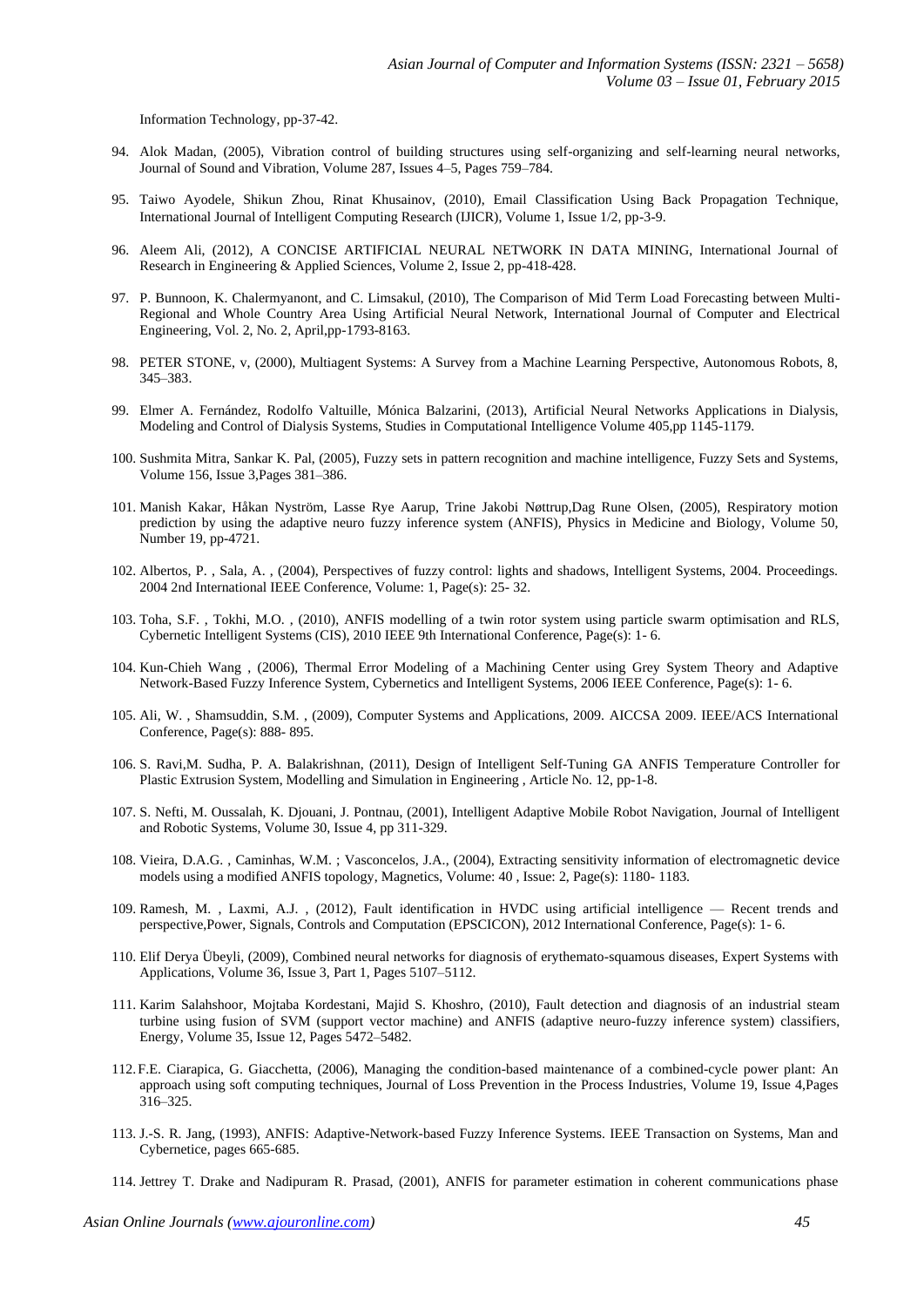Information Technology, pp-37-42.

- 94. Alok Madan, (2005), Vibration control of building structures using self-organizing and self-learning neural networks, Journal of Sound and Vibration, Volume 287, Issues 4–5, Pages 759–784.
- 95. Taiwo Ayodele, Shikun Zhou, Rinat Khusainov, (2010), Email Classification Using Back Propagation Technique, International Journal of Intelligent Computing Research (IJICR), Volume 1, Issue 1/2, pp-3-9.
- 96. Aleem Ali, (2012), A CONCISE ARTIFICIAL NEURAL NETWORK IN DATA MINING, International Journal of Research in Engineering & Applied Sciences, Volume 2, Issue 2, pp-418-428.
- 97. P. Bunnoon, K. Chalermyanont, and C. Limsakul, (2010), The Comparison of Mid Term Load Forecasting between Multi-Regional and Whole Country Area Using Artificial Neural Network, International Journal of Computer and Electrical Engineering, Vol. 2, No. 2, April,pp-1793-8163.
- 98. PETER STONE, v, (2000), Multiagent Systems: A Survey from a Machine Learning Perspective, Autonomous Robots, 8, 345–383.
- 99. Elmer A. Fernández, Rodolfo Valtuille, Mónica Balzarini, (2013), Artificial Neural Networks Applications in Dialysis, Modeling and Control of Dialysis Systems, Studies in Computational Intelligence Volume 405,pp 1145-1179.
- 100. Sushmita Mitra, Sankar K. Pal, (2005), Fuzzy sets in pattern recognition and machine intelligence, Fuzzy Sets and Systems, Volume 156, Issue 3,Pages 381–386.
- 101. Manish Kakar, Håkan Nyström, Lasse Rye Aarup, Trine Jakobi Nøttrup,Dag Rune Olsen, (2005), Respiratory motion prediction by using the adaptive neuro fuzzy inference system (ANFIS), Physics in Medicine and Biology, Volume 50, Number 19, pp-4721.
- 102. Albertos, P. , Sala, A. , (2004), Perspectives of fuzzy control: lights and shadows, Intelligent Systems, 2004. Proceedings. 2004 2nd International IEEE Conference, Volume: 1, Page(s): 25- 32.
- 103. Toha, S.F. , Tokhi, M.O. , (2010), ANFIS modelling of a twin rotor system using particle swarm optimisation and RLS, Cybernetic Intelligent Systems (CIS), 2010 IEEE 9th International Conference, Page(s): 1- 6.
- 104. Kun-Chieh Wang , (2006), Thermal Error Modeling of a Machining Center using Grey System Theory and Adaptive Network-Based Fuzzy Inference System, Cybernetics and Intelligent Systems, 2006 IEEE Conference, Page(s): 1- 6.
- 105. Ali, W. , Shamsuddin, S.M. , (2009), Computer Systems and Applications, 2009. AICCSA 2009. IEEE/ACS International Conference, Page(s): 888- 895.
- 106. S. Ravi,M. Sudha, P. A. Balakrishnan, (2011), Design of Intelligent Self-Tuning GA ANFIS Temperature Controller for Plastic Extrusion System, Modelling and Simulation in Engineering , Article No. 12, pp-1-8.
- 107. S. Nefti, M. Oussalah, K. Djouani, J. Pontnau, (2001), Intelligent Adaptive Mobile Robot Navigation, Journal of Intelligent and Robotic Systems, Volume 30, Issue 4, pp 311-329.
- 108. Vieira, D.A.G. , Caminhas, W.M. ; Vasconcelos, J.A., (2004), Extracting sensitivity information of electromagnetic device models using a modified ANFIS topology, Magnetics, Volume: 40 , Issue: 2, Page(s): 1180- 1183.
- 109. Ramesh, M. , Laxmi, A.J. , (2012), Fault identification in HVDC using artificial intelligence Recent trends and perspective,Power, Signals, Controls and Computation (EPSCICON), 2012 International Conference, Page(s): 1- 6.
- 110. Elif Derya Übeyli, (2009), Combined neural networks for diagnosis of erythemato-squamous diseases, Expert Systems with Applications, Volume 36, Issue 3, Part 1, Pages 5107–5112.
- 111. Karim Salahshoor, Mojtaba Kordestani, Majid S. Khoshro, (2010), Fault detection and diagnosis of an industrial steam turbine using fusion of SVM (support vector machine) and ANFIS (adaptive neuro-fuzzy inference system) classifiers, Energy, Volume 35, Issue 12, Pages 5472–5482.
- 112.F.E. Ciarapica, G. Giacchetta, (2006), Managing the condition-based maintenance of a combined-cycle power plant: An approach using soft computing techniques, Journal of Loss Prevention in the Process Industries, Volume 19, Issue 4,Pages 316–325.
- 113. J.-S. R. Jang, (1993), ANFIS: Adaptive-Network-based Fuzzy Inference Systems. IEEE Transaction on Systems, Man and Cybernetice, pages 665-685.
- 114. Jettrey T. Drake and Nadipuram R. Prasad, (2001), ANFIS for parameter estimation in coherent communications phase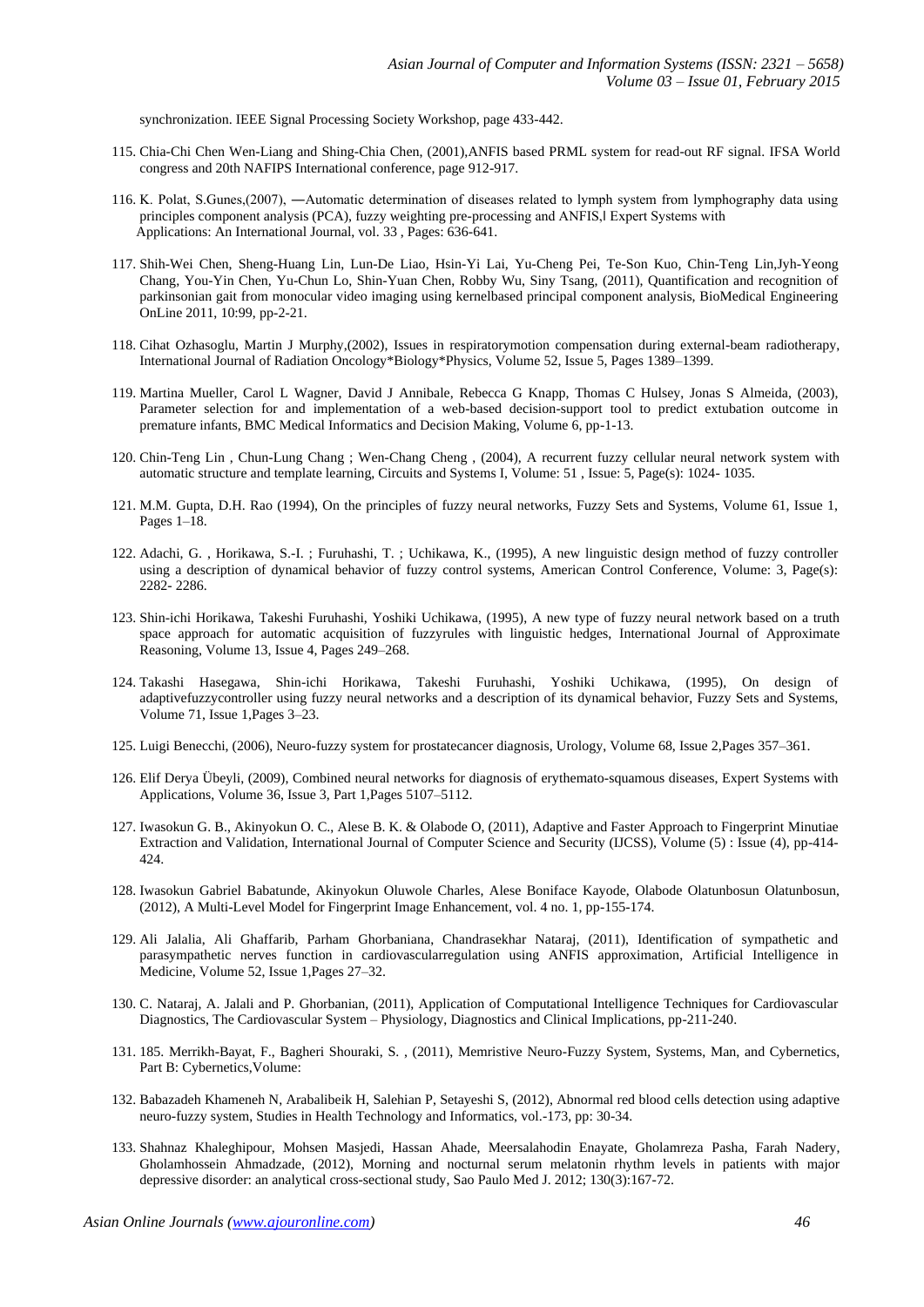synchronization. IEEE Signal Processing Society Workshop, page 433-442.

- 115. Chia-Chi Chen Wen-Liang and Shing-Chia Chen, (2001),ANFIS based PRML system for read-out RF signal. IFSA World congress and 20th NAFIPS International conference, page 912-917.
- 116. K. Polat, S.Gunes,(2007), ―Automatic determination of diseases related to lymph system from lymphography data using principles component analysis (PCA), fuzzy weighting pre-processing and ANFIS,‖ Expert Systems with Applications: An International Journal, vol. 33 , Pages: 636-641.
- 117. Shih-Wei Chen, Sheng-Huang Lin, Lun-De Liao, Hsin-Yi Lai, Yu-Cheng Pei, Te-Son Kuo, Chin-Teng Lin,Jyh-Yeong Chang, You-Yin Chen, Yu-Chun Lo, Shin-Yuan Chen, Robby Wu, Siny Tsang, (2011), Quantification and recognition of parkinsonian gait from monocular video imaging using kernelbased principal component analysis, BioMedical Engineering OnLine 2011, 10:99, pp-2-21.
- 118. Cihat Ozhasoglu, Martin J Murphy,(2002), Issues in respiratorymotion compensation during external-beam radiotherapy, International Journal of Radiation Oncology\*Biology\*Physics, Volume 52, Issue 5, Pages 1389–1399.
- 119. Martina Mueller, Carol L Wagner, David J Annibale, Rebecca G Knapp, Thomas C Hulsey, Jonas S Almeida, (2003), Parameter selection for and implementation of a web-based decision-support tool to predict extubation outcome in premature infants, BMC Medical Informatics and Decision Making, Volume 6, pp-1-13.
- 120. Chin-Teng Lin , Chun-Lung Chang ; Wen-Chang Cheng , (2004), A recurrent fuzzy cellular neural network system with automatic structure and template learning, Circuits and Systems I, Volume: 51 , Issue: 5, Page(s): 1024- 1035.
- 121. M.M. Gupta, D.H. Rao (1994), On the principles of fuzzy neural networks, Fuzzy Sets and Systems, Volume 61, Issue 1, Pages 1–18.
- 122. Adachi, G. , Horikawa, S.-I. ; Furuhashi, T. ; Uchikawa, K., (1995), A new linguistic design method of fuzzy controller using a description of dynamical behavior of fuzzy control systems, American Control Conference, Volume: 3, Page(s): 2282- 2286.
- 123. Shin-ichi Horikawa, Takeshi Furuhashi, Yoshiki Uchikawa, (1995), A new type of fuzzy neural network based on a truth space approach for automatic acquisition of fuzzyrules with linguistic hedges, International Journal of Approximate Reasoning, Volume 13, Issue 4, Pages 249–268.
- 124. Takashi Hasegawa, Shin-ichi Horikawa, Takeshi Furuhashi, Yoshiki Uchikawa, (1995), On design of adaptivefuzzycontroller using fuzzy neural networks and a description of its dynamical behavior, Fuzzy Sets and Systems, Volume 71, Issue 1,Pages 3–23.
- 125. Luigi Benecchi, (2006), Neuro-fuzzy system for prostatecancer diagnosis, Urology, Volume 68, Issue 2,Pages 357–361.
- 126. Elif Derya Übeyli, (2009), Combined neural networks for diagnosis of erythemato-squamous diseases, Expert Systems with Applications, Volume 36, Issue 3, Part 1,Pages 5107–5112.
- 127. Iwasokun G. B., Akinyokun O. C., Alese B. K. & Olabode O, (2011), Adaptive and Faster Approach to Fingerprint Minutiae Extraction and Validation, International Journal of Computer Science and Security (IJCSS), Volume (5) : Issue (4), pp-414- 424.
- 128. Iwasokun Gabriel Babatunde, Akinyokun Oluwole Charles, Alese Boniface Kayode, Olabode Olatunbosun Olatunbosun, (2012), A Multi-Level Model for Fingerprint Image Enhancement, vol. 4 no. 1, pp-155-174.
- 129. Ali Jalalia, Ali Ghaffarib, Parham Ghorbaniana, Chandrasekhar Nataraj, (2011), Identification of sympathetic and parasympathetic nerves function in cardiovascularregulation using ANFIS approximation, Artificial Intelligence in Medicine, Volume 52, Issue 1,Pages 27–32.
- 130. C. Nataraj, A. Jalali and P. Ghorbanian, (2011), Application of Computational Intelligence Techniques for Cardiovascular Diagnostics, The Cardiovascular System – Physiology, Diagnostics and Clinical Implications, pp-211-240.
- 131. 185. Merrikh-Bayat, F., Bagheri Shouraki, S. , (2011), Memristive Neuro-Fuzzy System, Systems, Man, and Cybernetics, Part B: Cybernetics,Volume:
- 132. Babazadeh Khameneh N, Arabalibeik H, Salehian P, Setayeshi S, (2012), Abnormal red blood cells detection using adaptive neuro-fuzzy system, Studies in Health Technology and Informatics, vol.-173, pp: 30-34.
- 133. Shahnaz Khaleghipour, Mohsen Masjedi, Hassan Ahade, Meersalahodin Enayate, Gholamreza Pasha, Farah Nadery, Gholamhossein Ahmadzade, (2012), Morning and nocturnal serum melatonin rhythm levels in patients with major depressive disorder: an analytical cross-sectional study, Sao Paulo Med J. 2012; 130(3):167-72.